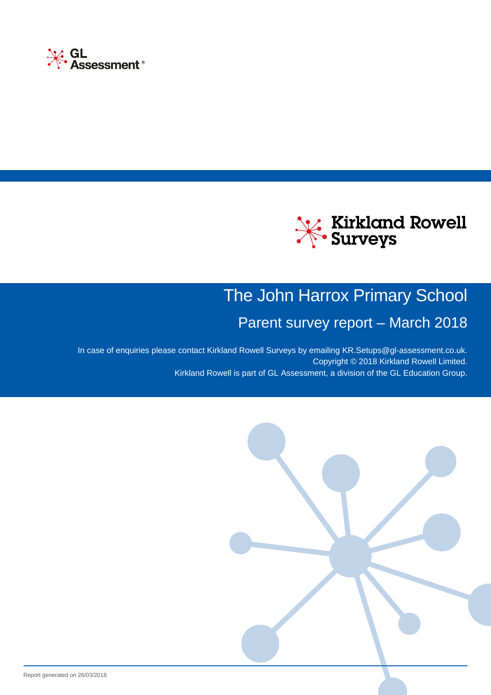



# The John Harrox Primary School

# Parent survey report – March 2018

In case of enquiries please contact Kirkland Rowell Surveys by emailing [KR.Setups@gl-assessment.co.uk](mailto:KR.Setups@gl-assessment.co.uk?subject=Query%20about%20my%20Parent survey report%20-%203385). Copyright © 2018 Kirkland Rowell Limited. Kirkland Rowell is part of GL Assessment, a division of the GL Education Group.

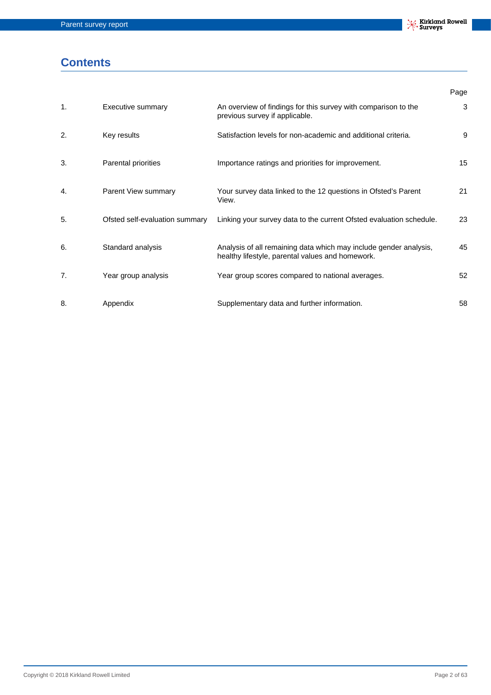## **Contents**

|                  |                                |                                                                                                                       | Page |
|------------------|--------------------------------|-----------------------------------------------------------------------------------------------------------------------|------|
| 1.               | Executive summary              | An overview of findings for this survey with comparison to the<br>previous survey if applicable.                      | 3    |
| $\overline{2}$ . | Key results                    | Satisfaction levels for non-academic and additional criteria.                                                         | 9    |
| 3.               | Parental priorities            | Importance ratings and priorities for improvement.                                                                    | 15   |
| 4.               | Parent View summary            | Your survey data linked to the 12 questions in Ofsted's Parent<br>View.                                               | 21   |
| 5.               | Ofsted self-evaluation summary | Linking your survey data to the current Ofsted evaluation schedule.                                                   | 23   |
| 6.               | Standard analysis              | Analysis of all remaining data which may include gender analysis,<br>healthy lifestyle, parental values and homework. | 45   |
| 7.               | Year group analysis            | Year group scores compared to national averages.                                                                      | 52   |
| 8.               | Appendix                       | Supplementary data and further information.                                                                           | 58   |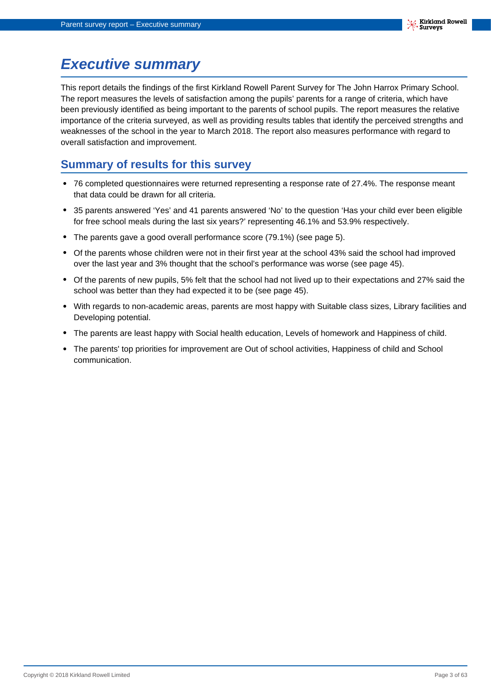## <span id="page-2-0"></span>**Executive summary**

This report details the findings of the first Kirkland Rowell Parent Survey for The John Harrox Primary School. The report measures the levels of satisfaction among the pupils' parents for a range of criteria, which have been previously identified as being important to the parents of school pupils. The report measures the relative importance of the criteria surveyed, as well as providing results tables that identify the perceived strengths and weaknesses of the school in the year to March 2018. The report also measures performance with regard to overall satisfaction and improvement.

### **Summary of results for this survey**

- **•** 76 completed questionnaires were returned representing a response rate of 27.4%. The response meant that data could be drawn for all criteria.
- **•** 35 parents answered 'Yes' and 41 parents answered 'No' to the question 'Has your child ever been eligible for free school meals during the last six years?' representing 46.1% and 53.9% respectively.
- **•** The parents gave a good overall performance score (79.1%) (see page 5).
- **•** Of the parents whose children were not in their first year at the school 43% said the school had improved over the last year and 3% thought that the school's performance was worse (see page 45).
- **•** Of the parents of new pupils, 5% felt that the school had not lived up to their expectations and 27% said the school was better than they had expected it to be (see page 45).
- **•** With regards to non-academic areas, parents are most happy with Suitable class sizes, Library facilities and Developing potential.
- **•** The parents are least happy with Social health education, Levels of homework and Happiness of child.
- **•** The parents' top priorities for improvement are Out of school activities, Happiness of child and School communication.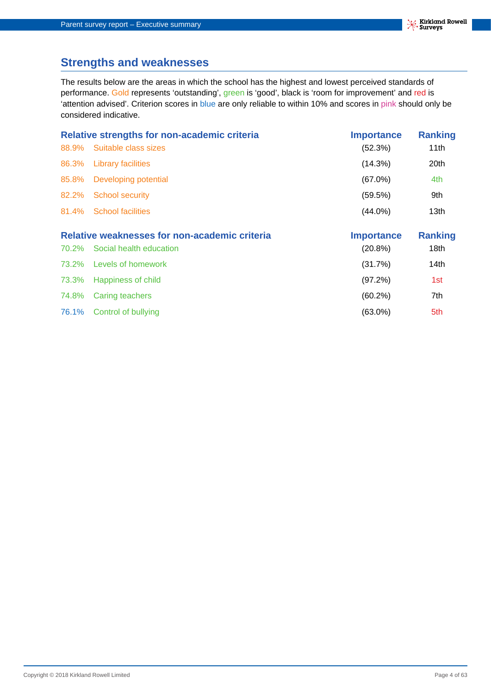## **Strengths and weaknesses**

The results below are the areas in which the school has the highest and lowest perceived standards of performance. Gold represents 'outstanding', green is 'good', black is 'room for improvement' and red is 'attention advised'. Criterion scores in blue are only reliable to within 10% and scores in pink should only be considered indicative.

|       | Relative strengths for non-academic criteria  | <b>Importance</b> | <b>Ranking</b>   |
|-------|-----------------------------------------------|-------------------|------------------|
| 88.9% | Suitable class sizes                          | (52.3%)           | 11th             |
| 86.3% | <b>Library facilities</b>                     | (14.3%)           | 20th             |
| 85.8% | Developing potential                          | $(67.0\%)$        | 4th              |
| 82.2% | School security                               | (59.5%)           | 9th              |
|       | 81.4% School facilities                       | $(44.0\%)$        | 13 <sub>th</sub> |
|       | Relative weaknesses for non-academic criteria | <b>Importance</b> | <b>Ranking</b>   |

| 70.2% Social health education | $(20.8\%)$ | 18th |
|-------------------------------|------------|------|
| 73.2% Levels of homework      | (31.7%)    | 14th |
| 73.3% Happiness of child      | (97.2%)    | 1st  |
| 74.8% Caring teachers         | $(60.2\%)$ | 7th  |
| 76.1% Control of bullying     | $(63.0\%)$ | 5th  |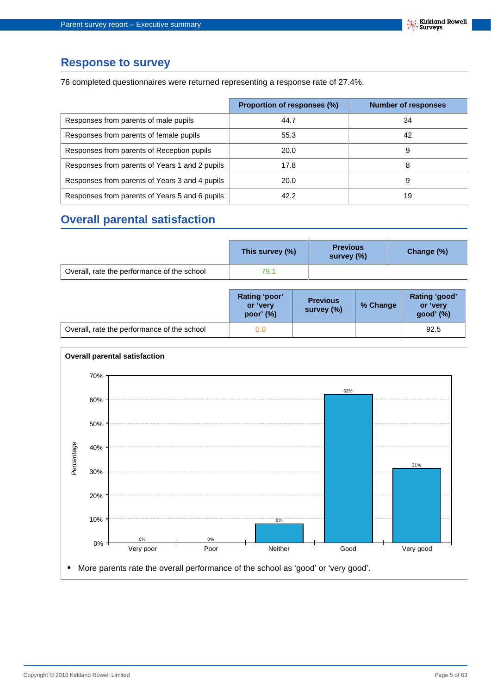### **Response to survey**

76 completed questionnaires were returned representing a response rate of 27.4%.

|                                                | Proportion of responses (%) | <b>Number of responses</b> |
|------------------------------------------------|-----------------------------|----------------------------|
| Responses from parents of male pupils          | 44.7                        | 34                         |
| Responses from parents of female pupils        | 55.3                        | 42                         |
| Responses from parents of Reception pupils     | 20.0                        | 9                          |
| Responses from parents of Years 1 and 2 pupils | 17.8                        | 8                          |
| Responses from parents of Years 3 and 4 pupils | 20.0                        | 9                          |
| Responses from parents of Years 5 and 6 pupils | 42.2                        | 19                         |

## **Overall parental satisfaction**

|                                             | This survey (%) | <b>Previous</b><br>survey (%) | Change (%) |
|---------------------------------------------|-----------------|-------------------------------|------------|
| Overall, rate the performance of the school | 79.1            |                               |            |

|                                             | Rating 'poor'<br>or 'very<br>poor' $(%)$ | <b>Previous</b><br>survey (%) | % Change | Rating 'good'<br>or 'very<br>good' (%) |
|---------------------------------------------|------------------------------------------|-------------------------------|----------|----------------------------------------|
| Overall, rate the performance of the school | 0.0                                      |                               |          | 92.5                                   |

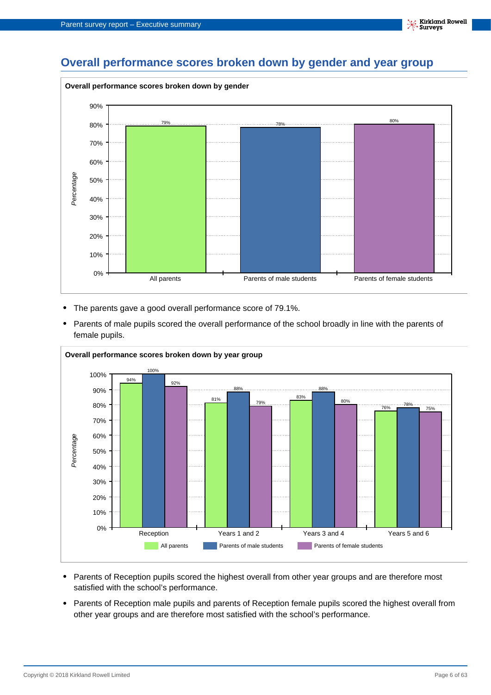

- **•** The parents gave a good overall performance score of 79.1%.
- **•** Parents of male pupils scored the overall performance of the school broadly in line with the parents of female pupils.



- **•** Parents of Reception pupils scored the highest overall from other year groups and are therefore most satisfied with the school's performance.
- **•** Parents of Reception male pupils and parents of Reception female pupils scored the highest overall from other year groups and are therefore most satisfied with the school's performance.

**Kirkland Rowell**<br>Surveys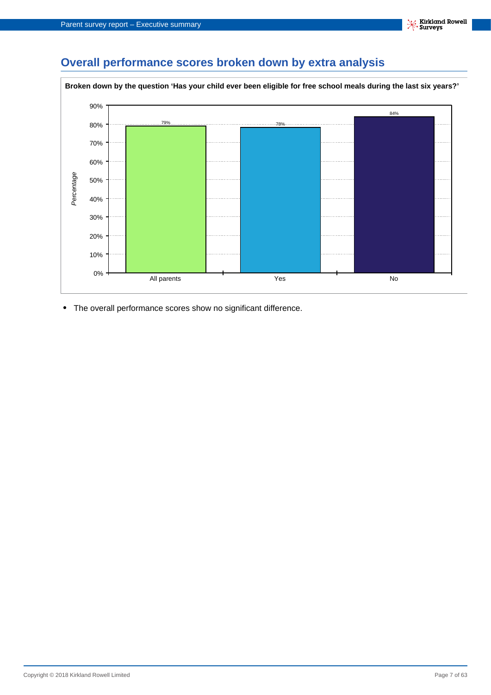## **Overall performance scores broken down by extra analysis**



**•** The overall performance scores show no significant difference.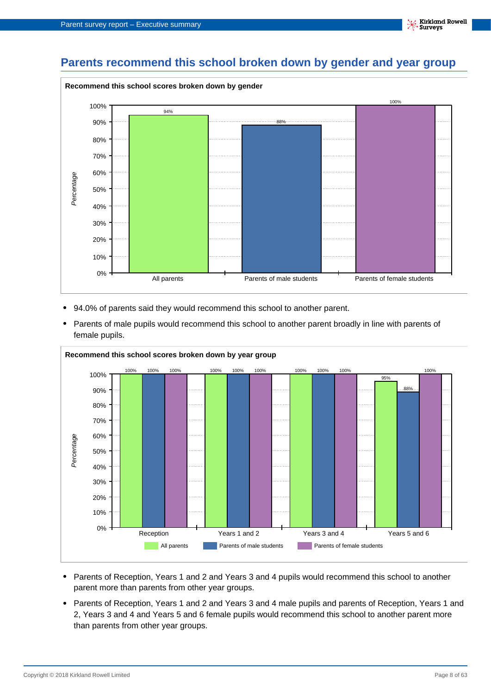## **Parents recommend this school broken down by gender and year group**



- **•** 94.0% of parents said they would recommend this school to another parent.
- **•** Parents of male pupils would recommend this school to another parent broadly in line with parents of female pupils.



- **•** Parents of Reception, Years 1 and 2 and Years 3 and 4 pupils would recommend this school to another parent more than parents from other year groups.
- **•** Parents of Reception, Years 1 and 2 and Years 3 and 4 male pupils and parents of Reception, Years 1 and 2, Years 3 and 4 and Years 5 and 6 female pupils would recommend this school to another parent more than parents from other year groups.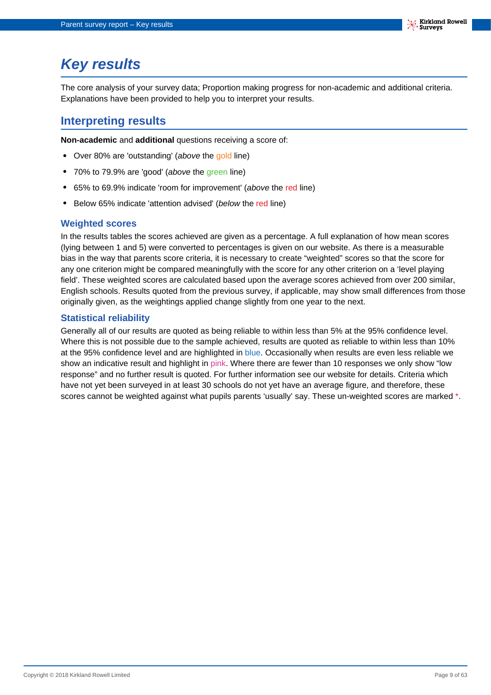# <span id="page-8-0"></span>**Key results**

The core analysis of your survey data; Proportion making progress for non-academic and additional criteria. Explanations have been provided to help you to interpret your results.

### **Interpreting results**

**Non-academic** and **additional** questions receiving a score of:

- **•** Over 80% are 'outstanding' (above the gold line)
- **•** 70% to 79.9% are 'good' (above the green line)
- **•** 65% to 69.9% indicate 'room for improvement' (above the red line)
- **•** Below 65% indicate 'attention advised' (below the red line)

#### **Weighted scores**

In the results tables the scores achieved are given as a percentage. A full explanation of how mean scores (lying between 1 and 5) were converted to percentages is given on our website. As there is a measurable bias in the way that parents score criteria, it is necessary to create "weighted" scores so that the score for any one criterion might be compared meaningfully with the score for any other criterion on a 'level playing field'. These weighted scores are calculated based upon the average scores achieved from over 200 similar, English schools. Results quoted from the previous survey, if applicable, may show small differences from those originally given, as the weightings applied change slightly from one year to the next.

#### **Statistical reliability**

Generally all of our results are quoted as being reliable to within less than 5% at the 95% confidence level. Where this is not possible due to the sample achieved, results are quoted as reliable to within less than 10% at the 95% confidence level and are highlighted in blue. Occasionally when results are even less reliable we show an indicative result and highlight in pink. Where there are fewer than 10 responses we only show "low response" and no further result is quoted. For further information see our website for details. Criteria which have not yet been surveyed in at least 30 schools do not yet have an average figure, and therefore, these scores cannot be weighted against what pupils parents 'usually' say. These un-weighted scores are marked \*.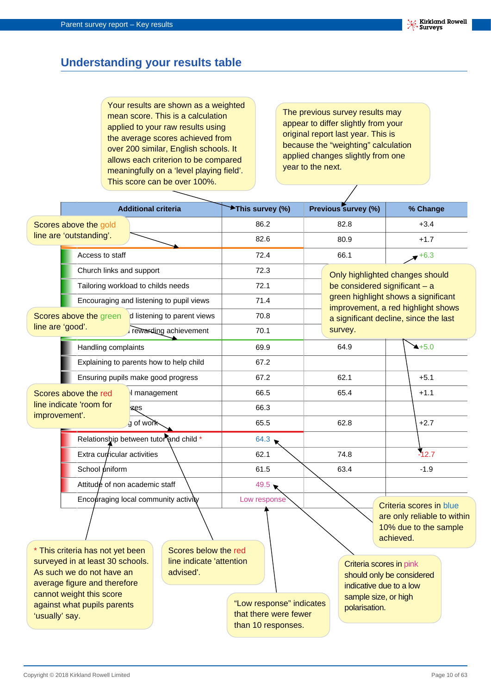## **Understanding your results table**

Your results are shown as a weighted mean score. This is a calculation applied to your raw results using the average scores achieved from over 200 similar, English schools. It allows each criterion to be compared meaningfully on a 'level playing field'. This score can be over 100%.

The previous survey results may appear to differ slightly from your original report last year. This is because the "weighting" calculation applied changes slightly from one year to the next.

 $\overline{\phantom{a}}$ 

|                                                                                                                                                                                                              |                                         | <b>Additional criteria</b>                                    |                                          | <b>★This survey (%)</b>                                                 |      |                                                                                                                          | Previous survey (%)             |                                                                                 | % Change                                                                  |  |
|--------------------------------------------------------------------------------------------------------------------------------------------------------------------------------------------------------------|-----------------------------------------|---------------------------------------------------------------|------------------------------------------|-------------------------------------------------------------------------|------|--------------------------------------------------------------------------------------------------------------------------|---------------------------------|---------------------------------------------------------------------------------|---------------------------------------------------------------------------|--|
|                                                                                                                                                                                                              | Scores above the gold                   |                                                               |                                          | 86.2                                                                    |      | 82.8                                                                                                                     |                                 |                                                                                 | $+3.4$                                                                    |  |
|                                                                                                                                                                                                              | line are 'outstanding'.                 |                                                               |                                          | 82.6                                                                    |      | 80.9                                                                                                                     |                                 |                                                                                 | $+1.7$                                                                    |  |
|                                                                                                                                                                                                              | Access to staff                         |                                                               |                                          | 72.4                                                                    |      | 66.1                                                                                                                     |                                 |                                                                                 | $+6.3$                                                                    |  |
| Church links and support<br>Tailoring workload to childs needs                                                                                                                                               |                                         |                                                               |                                          | 72.3                                                                    |      |                                                                                                                          | Only highlighted changes should |                                                                                 |                                                                           |  |
|                                                                                                                                                                                                              |                                         |                                                               |                                          | 72.1                                                                    |      |                                                                                                                          |                                 |                                                                                 | be considered significant - a                                             |  |
|                                                                                                                                                                                                              |                                         |                                                               | Encouraging and listening to pupil views | 71.4                                                                    |      |                                                                                                                          |                                 |                                                                                 | green highlight shows a significant<br>improvement, a red highlight shows |  |
|                                                                                                                                                                                                              | Scores above the green                  |                                                               | d listening to parent views              | 70.8                                                                    |      |                                                                                                                          |                                 |                                                                                 | a significant decline, since the last                                     |  |
| line are 'good'.                                                                                                                                                                                             |                                         |                                                               | rewarding achievement                    | 70.1                                                                    |      |                                                                                                                          | survey.                         |                                                                                 |                                                                           |  |
| Handling complaints                                                                                                                                                                                          |                                         |                                                               |                                          | 69.9                                                                    |      |                                                                                                                          | 64.9                            |                                                                                 | $4+5.0$                                                                   |  |
|                                                                                                                                                                                                              | Explaining to parents how to help child |                                                               |                                          | 67.2                                                                    |      |                                                                                                                          |                                 |                                                                                 |                                                                           |  |
|                                                                                                                                                                                                              | Ensuring pupils make good progress      |                                                               |                                          | 67.2                                                                    |      | 62.1                                                                                                                     |                                 |                                                                                 | $+5.1$                                                                    |  |
|                                                                                                                                                                                                              | Scores above the red                    |                                                               | I management                             |                                                                         | 66.5 | 65.4                                                                                                                     |                                 |                                                                                 | $+1.1$                                                                    |  |
| improvement'.                                                                                                                                                                                                | line indicate 'room for                 | izęs                                                          |                                          | 66.3                                                                    |      |                                                                                                                          |                                 |                                                                                 |                                                                           |  |
|                                                                                                                                                                                                              |                                         | g of work                                                     |                                          | 65.5                                                                    |      |                                                                                                                          | 62.8                            |                                                                                 | $+2.7$                                                                    |  |
|                                                                                                                                                                                                              | Relationship between tutor and child *  |                                                               |                                          | 64.3                                                                    |      |                                                                                                                          |                                 |                                                                                 |                                                                           |  |
|                                                                                                                                                                                                              | Extra curricular activities             |                                                               |                                          | 62.1                                                                    |      |                                                                                                                          | 74.8                            |                                                                                 | $-12.7$                                                                   |  |
|                                                                                                                                                                                                              | School uniform                          |                                                               |                                          | 61.5                                                                    |      | 63.4                                                                                                                     |                                 | $-1.9$                                                                          |                                                                           |  |
|                                                                                                                                                                                                              | Attitude of non academic staff          |                                                               |                                          | $49.5 \bullet$                                                          |      |                                                                                                                          |                                 |                                                                                 |                                                                           |  |
| Encouraging local community activity                                                                                                                                                                         |                                         |                                                               | Low response                             |                                                                         |      |                                                                                                                          | achieved.                       | Criteria scores in blue<br>are only reliable to within<br>10% due to the sample |                                                                           |  |
| This criteria has not yet been<br>surveyed in at least 30 schools.<br>As such we do not have an<br>average figure and therefore<br>cannot weight this score<br>against what pupils parents<br>'usually' say. |                                         | Scores below the red<br>line indicate 'attention<br>advised'. |                                          | "Low response" indicates<br>that there were fewer<br>than 10 responses. |      | Criteria scores in pink<br>should only be considered<br>indicative due to a low<br>sample size, or high<br>polarisation. |                                 |                                                                                 |                                                                           |  |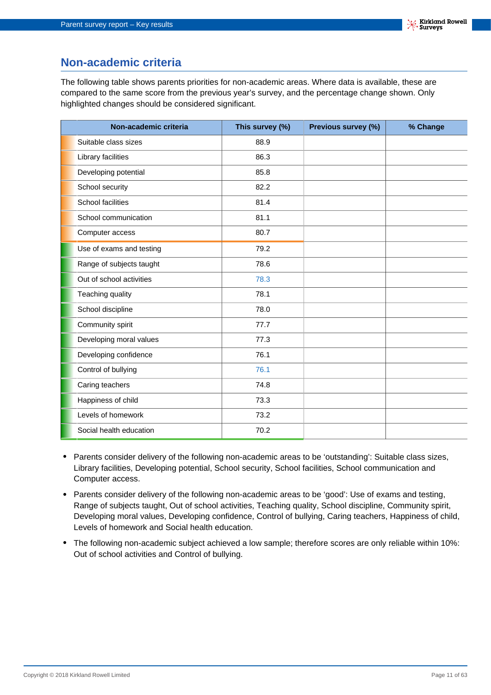### **Non-academic criteria**

The following table shows parents priorities for non-academic areas. Where data is available, these are compared to the same score from the previous year's survey, and the percentage change shown. Only highlighted changes should be considered significant.

| Non-academic criteria    | This survey (%) | Previous survey (%) | % Change |
|--------------------------|-----------------|---------------------|----------|
| Suitable class sizes     | 88.9            |                     |          |
| Library facilities       | 86.3            |                     |          |
| Developing potential     | 85.8            |                     |          |
| School security          | 82.2            |                     |          |
| School facilities        | 81.4            |                     |          |
| School communication     | 81.1            |                     |          |
| Computer access          | 80.7            |                     |          |
| Use of exams and testing | 79.2            |                     |          |
| Range of subjects taught | 78.6            |                     |          |
| Out of school activities | 78.3            |                     |          |
| Teaching quality         | 78.1            |                     |          |
| School discipline        | 78.0            |                     |          |
| Community spirit         | 77.7            |                     |          |
| Developing moral values  | 77.3            |                     |          |
| Developing confidence    | 76.1            |                     |          |
| Control of bullying      | 76.1            |                     |          |
| Caring teachers          | 74.8            |                     |          |
| Happiness of child       | 73.3            |                     |          |
| Levels of homework       | 73.2            |                     |          |
| Social health education  | 70.2            |                     |          |

- **•** Parents consider delivery of the following non-academic areas to be 'outstanding': Suitable class sizes, Library facilities, Developing potential, School security, School facilities, School communication and Computer access.
- **•** Parents consider delivery of the following non-academic areas to be 'good': Use of exams and testing, Range of subjects taught, Out of school activities, Teaching quality, School discipline, Community spirit, Developing moral values, Developing confidence, Control of bullying, Caring teachers, Happiness of child, Levels of homework and Social health education.
- **•** The following non-academic subject achieved a low sample; therefore scores are only reliable within 10%: Out of school activities and Control of bullying.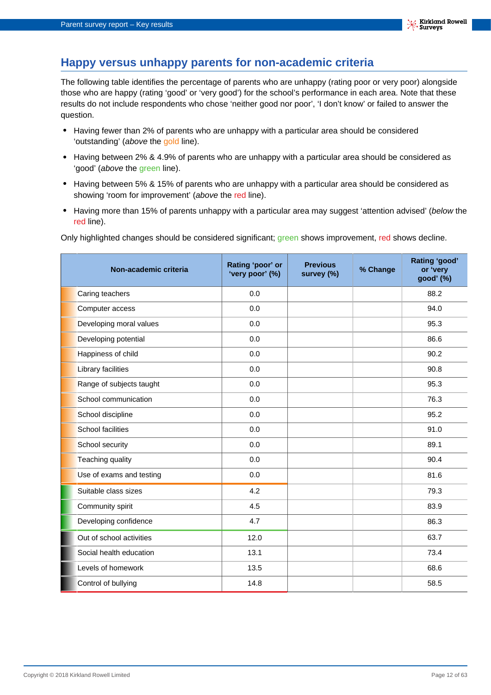## **Happy versus unhappy parents for non-academic criteria**

The following table identifies the percentage of parents who are unhappy (rating poor or very poor) alongside those who are happy (rating 'good' or 'very good') for the school's performance in each area. Note that these results do not include respondents who chose 'neither good nor poor', 'I don't know' or failed to answer the question.

- **•** Having fewer than 2% of parents who are unhappy with a particular area should be considered 'outstanding' (above the gold line).
- **•** Having between 2% & 4.9% of parents who are unhappy with a particular area should be considered as 'good' (above the green line).
- **•** Having between 5% & 15% of parents who are unhappy with a particular area should be considered as showing 'room for improvement' (above the red line).
- Having more than 15% of parents unhappy with a particular area may suggest 'attention advised' (below the red line).

Only highlighted changes should be considered significant; green shows improvement, red shows decline.

| Non-academic criteria     | Rating 'poor' or<br>'very poor' (%) | <b>Previous</b><br>survey (%) | % Change | Rating 'good'<br>or 'very<br>good' (%) |
|---------------------------|-------------------------------------|-------------------------------|----------|----------------------------------------|
| Caring teachers           | 0.0                                 |                               |          | 88.2                                   |
| Computer access           | 0.0                                 |                               |          | 94.0                                   |
| Developing moral values   | 0.0                                 |                               |          | 95.3                                   |
| Developing potential      | 0.0                                 |                               |          | 86.6                                   |
| Happiness of child        | 0.0                                 |                               |          | 90.2                                   |
| <b>Library facilities</b> | 0.0                                 |                               |          | 90.8                                   |
| Range of subjects taught  | 0.0                                 |                               |          | 95.3                                   |
| School communication      | 0.0                                 |                               |          | 76.3                                   |
| School discipline         | 0.0                                 |                               |          | 95.2                                   |
| <b>School facilities</b>  | 0.0                                 |                               |          | 91.0                                   |
| School security           | 0.0                                 |                               |          | 89.1                                   |
| Teaching quality          | 0.0                                 |                               |          | 90.4                                   |
| Use of exams and testing  | 0.0                                 |                               |          | 81.6                                   |
| Suitable class sizes      | 4.2                                 |                               |          | 79.3                                   |
| Community spirit          | 4.5                                 |                               |          | 83.9                                   |
| Developing confidence     | 4.7                                 |                               |          | 86.3                                   |
| Out of school activities  | 12.0                                |                               |          | 63.7                                   |
| Social health education   | 13.1                                |                               |          | 73.4                                   |
| Levels of homework        | 13.5                                |                               |          | 68.6                                   |
| Control of bullying       | 14.8                                |                               |          | 58.5                                   |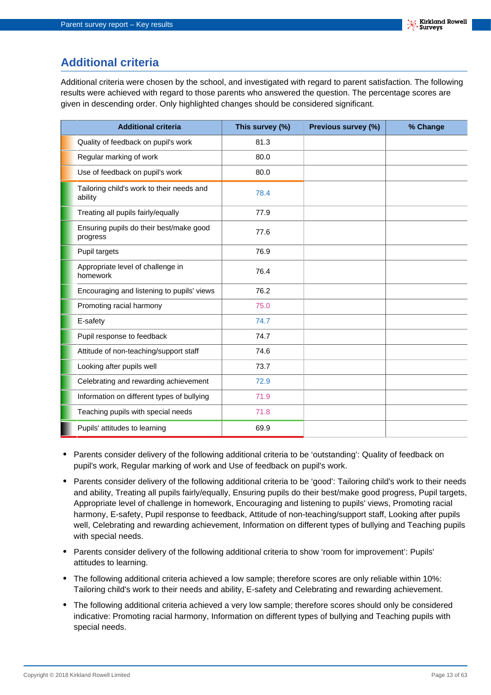## **Additional criteria**

Additional criteria were chosen by the school, and investigated with regard to parent satisfaction. The following results were achieved with regard to those parents who answered the question. The percentage scores are given in descending order. Only highlighted changes should be considered significant.

| <b>Additional criteria</b>                           | This survey (%) | Previous survey (%) | % Change |
|------------------------------------------------------|-----------------|---------------------|----------|
| Quality of feedback on pupil's work                  | 81.3            |                     |          |
| Regular marking of work                              | 80.0            |                     |          |
| Use of feedback on pupil's work                      | 80.0            |                     |          |
| Tailoring child's work to their needs and<br>ability | 78.4            |                     |          |
| Treating all pupils fairly/equally                   | 77.9            |                     |          |
| Ensuring pupils do their best/make good<br>progress  | 77.6            |                     |          |
| Pupil targets                                        | 76.9            |                     |          |
| Appropriate level of challenge in<br>homework        | 76.4            |                     |          |
| Encouraging and listening to pupils' views           | 76.2            |                     |          |
| Promoting racial harmony                             | 75.0            |                     |          |
| E-safety                                             | 74.7            |                     |          |
| Pupil response to feedback                           | 74.7            |                     |          |
| Attitude of non-teaching/support staff               | 74.6            |                     |          |
| Looking after pupils well                            | 73.7            |                     |          |
| Celebrating and rewarding achievement                | 72.9            |                     |          |
| Information on different types of bullying           | 71.9            |                     |          |
| Teaching pupils with special needs                   | 71.8            |                     |          |
| Pupils' attitudes to learning                        | 69.9            |                     |          |

- **•** Parents consider delivery of the following additional criteria to be 'outstanding': Quality of feedback on pupil's work, Regular marking of work and Use of feedback on pupil's work.
- **•** Parents consider delivery of the following additional criteria to be 'good': Tailoring child's work to their needs and ability, Treating all pupils fairly/equally, Ensuring pupils do their best/make good progress, Pupil targets, Appropriate level of challenge in homework, Encouraging and listening to pupils' views, Promoting racial harmony, E-safety, Pupil response to feedback, Attitude of non-teaching/support staff, Looking after pupils well, Celebrating and rewarding achievement, Information on different types of bullying and Teaching pupils with special needs.
- Parents consider delivery of the following additional criteria to show 'room for improvement': Pupils' attitudes to learning.
- **•** The following additional criteria achieved a low sample; therefore scores are only reliable within 10%: Tailoring child's work to their needs and ability, E-safety and Celebrating and rewarding achievement.
- **•** The following additional criteria achieved a very low sample; therefore scores should only be considered indicative: Promoting racial harmony, Information on different types of bullying and Teaching pupils with special needs.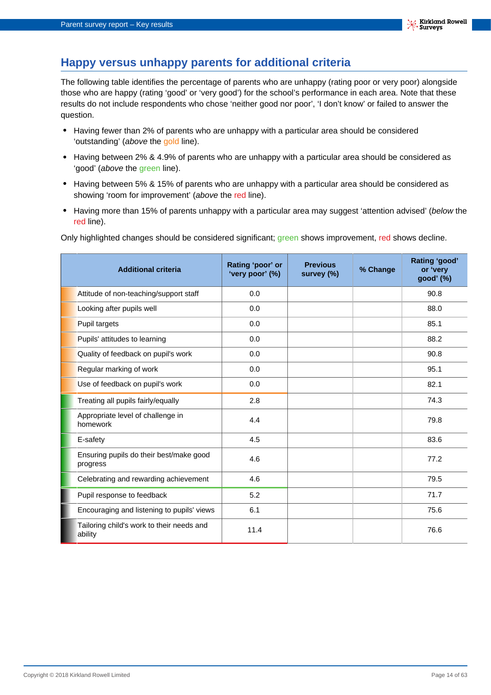### **Happy versus unhappy parents for additional criteria**

The following table identifies the percentage of parents who are unhappy (rating poor or very poor) alongside those who are happy (rating 'good' or 'very good') for the school's performance in each area. Note that these results do not include respondents who chose 'neither good nor poor', 'I don't know' or failed to answer the question.

- **•** Having fewer than 2% of parents who are unhappy with a particular area should be considered 'outstanding' (above the gold line).
- **•** Having between 2% & 4.9% of parents who are unhappy with a particular area should be considered as 'good' (above the green line).
- **•** Having between 5% & 15% of parents who are unhappy with a particular area should be considered as showing 'room for improvement' (above the red line).
- Having more than 15% of parents unhappy with a particular area may suggest 'attention advised' (below the red line).

Only highlighted changes should be considered significant; green shows improvement, red shows decline.

| <b>Additional criteria</b>                           | Rating 'poor' or<br>'very poor' (%) | <b>Previous</b><br>survey (%) | % Change | Rating 'good'<br>or 'very<br>good' (%) |
|------------------------------------------------------|-------------------------------------|-------------------------------|----------|----------------------------------------|
| Attitude of non-teaching/support staff               | 0.0                                 |                               |          | 90.8                                   |
| Looking after pupils well                            | 0.0                                 |                               |          | 88.0                                   |
| Pupil targets                                        | 0.0                                 |                               |          | 85.1                                   |
| Pupils' attitudes to learning                        | 0.0                                 |                               |          | 88.2                                   |
| Quality of feedback on pupil's work                  | 0.0                                 |                               |          | 90.8                                   |
| Regular marking of work                              | 0.0                                 |                               |          | 95.1                                   |
| Use of feedback on pupil's work                      | 0.0                                 |                               |          | 82.1                                   |
| Treating all pupils fairly/equally                   | 2.8                                 |                               |          | 74.3                                   |
| Appropriate level of challenge in<br>homework        | 4.4                                 |                               |          | 79.8                                   |
| E-safety                                             | 4.5                                 |                               |          | 83.6                                   |
| Ensuring pupils do their best/make good<br>progress  | 4.6                                 |                               |          | 77.2                                   |
| Celebrating and rewarding achievement                | 4.6                                 |                               |          | 79.5                                   |
| Pupil response to feedback                           | 5.2                                 |                               |          | 71.7                                   |
| Encouraging and listening to pupils' views           | 6.1                                 |                               |          | 75.6                                   |
| Tailoring child's work to their needs and<br>ability | 11.4                                |                               |          | 76.6                                   |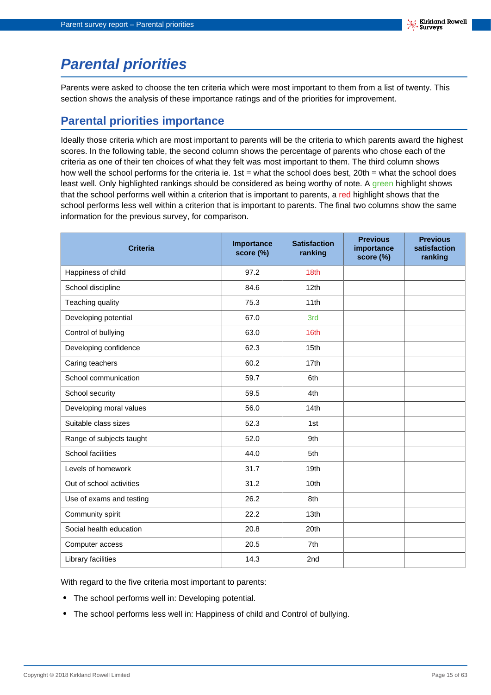# <span id="page-14-0"></span>**Parental priorities**

Parents were asked to choose the ten criteria which were most important to them from a list of twenty. This section shows the analysis of these importance ratings and of the priorities for improvement.

## **Parental priorities importance**

Ideally those criteria which are most important to parents will be the criteria to which parents award the highest scores. In the following table, the second column shows the percentage of parents who chose each of the criteria as one of their ten choices of what they felt was most important to them. The third column shows how well the school performs for the criteria ie. 1st = what the school does best, 20th = what the school does least well. Only highlighted rankings should be considered as being worthy of note. A green highlight shows that the school performs well within a criterion that is important to parents, a red highlight shows that the school performs less well within a criterion that is important to parents. The final two columns show the same information for the previous survey, for comparison.

| <b>Criteria</b>          | Importance<br>score (%) | <b>Satisfaction</b><br>ranking | <b>Previous</b><br>importance<br>score (%) | <b>Previous</b><br>satisfaction<br>ranking |
|--------------------------|-------------------------|--------------------------------|--------------------------------------------|--------------------------------------------|
| Happiness of child       | 97.2                    | 18th                           |                                            |                                            |
| School discipline        | 84.6                    | 12 <sub>th</sub>               |                                            |                                            |
| Teaching quality         | 75.3                    | 11th                           |                                            |                                            |
| Developing potential     | 67.0                    | 3rd                            |                                            |                                            |
| Control of bullying      | 63.0                    | 16th                           |                                            |                                            |
| Developing confidence    | 62.3                    | 15 <sub>th</sub>               |                                            |                                            |
| Caring teachers          | 60.2                    | 17th                           |                                            |                                            |
| School communication     | 59.7                    | 6th                            |                                            |                                            |
| School security          | 59.5                    | 4th                            |                                            |                                            |
| Developing moral values  | 56.0                    | 14 <sub>th</sub>               |                                            |                                            |
| Suitable class sizes     | 52.3                    | 1st                            |                                            |                                            |
| Range of subjects taught | 52.0                    | 9th                            |                                            |                                            |
| School facilities        | 44.0                    | 5th                            |                                            |                                            |
| Levels of homework       | 31.7                    | 19 <sub>th</sub>               |                                            |                                            |
| Out of school activities | 31.2                    | 10th                           |                                            |                                            |
| Use of exams and testing | 26.2                    | 8th                            |                                            |                                            |
| Community spirit         | 22.2                    | 13 <sub>th</sub>               |                                            |                                            |
| Social health education  | 20.8                    | 20th                           |                                            |                                            |
| Computer access          | 20.5                    | 7th                            |                                            |                                            |
| Library facilities       | 14.3                    | 2nd                            |                                            |                                            |

With regard to the five criteria most important to parents:

- **•** The school performs well in: Developing potential.
- **•** The school performs less well in: Happiness of child and Control of bullying.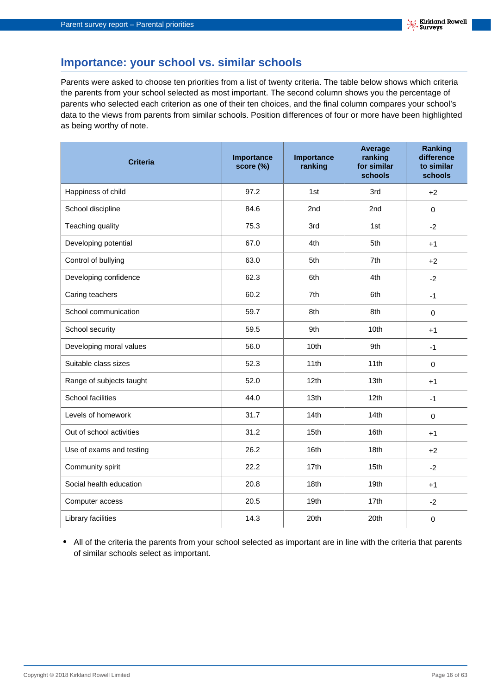### **Importance: your school vs. similar schools**

Parents were asked to choose ten priorities from a list of twenty criteria. The table below shows which criteria the parents from your school selected as most important. The second column shows you the percentage of parents who selected each criterion as one of their ten choices, and the final column compares your school's data to the views from parents from similar schools. Position differences of four or more have been highlighted as being worthy of note.

| <b>Criteria</b>          | Importance<br>score (%) | Importance<br>ranking | Average<br>ranking<br>for similar<br>schools | <b>Ranking</b><br>difference<br>to similar<br>schools |
|--------------------------|-------------------------|-----------------------|----------------------------------------------|-------------------------------------------------------|
| Happiness of child       | 97.2                    | 1st                   | 3rd                                          | $+2$                                                  |
| School discipline        | 84.6                    | 2nd                   | 2nd                                          | $\mathbf 0$                                           |
| Teaching quality         | 75.3                    | 3rd                   | 1st                                          | $-2$                                                  |
| Developing potential     | 67.0                    | 4th                   | 5th                                          | $+1$                                                  |
| Control of bullying      | 63.0                    | 5th                   | 7th                                          | $+2$                                                  |
| Developing confidence    | 62.3                    | 6th                   | 4th                                          | $-2$                                                  |
| Caring teachers          | 60.2                    | 7th                   | 6th                                          | $-1$                                                  |
| School communication     | 59.7                    | 8th                   | 8th                                          | $\mathbf 0$                                           |
| School security          | 59.5                    | 9th                   | 10th                                         | $+1$                                                  |
| Developing moral values  | 56.0                    | 10th                  | 9th                                          | $-1$                                                  |
| Suitable class sizes     | 52.3                    | 11th                  | 11th                                         | $\mathbf 0$                                           |
| Range of subjects taught | 52.0                    | 12th                  | 13th                                         | $+1$                                                  |
| School facilities        | 44.0                    | 13th                  | 12th                                         | $-1$                                                  |
| Levels of homework       | 31.7                    | 14th                  | 14th                                         | $\mathbf 0$                                           |
| Out of school activities | 31.2                    | 15th                  | 16th                                         | $+1$                                                  |
| Use of exams and testing | 26.2                    | 16th                  | 18th                                         | $+2$                                                  |
| Community spirit         | 22.2                    | 17th                  | 15th                                         | $-2$                                                  |
| Social health education  | 20.8                    | 18th                  | 19th                                         | $+1$                                                  |
| Computer access          | 20.5                    | 19th                  | 17th                                         | $-2$                                                  |
| Library facilities       | 14.3                    | 20th                  | 20th                                         | $\boldsymbol{0}$                                      |

**•** All of the criteria the parents from your school selected as important are in line with the criteria that parents of similar schools select as important.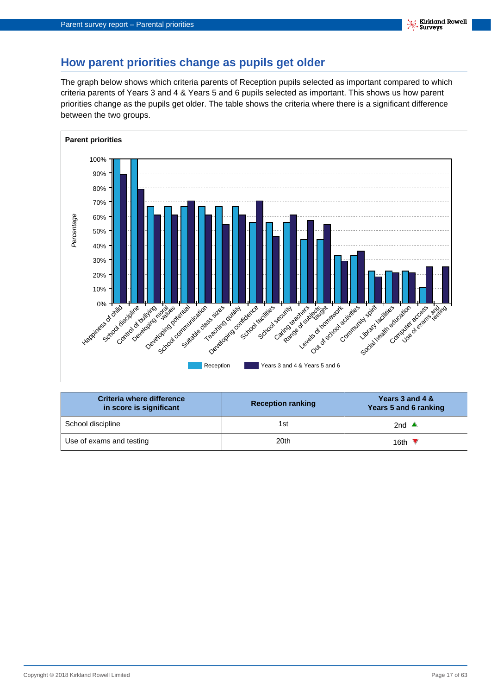### **How parent priorities change as pupils get older**

The graph below shows which criteria parents of Reception pupils selected as important compared to which criteria parents of Years 3 and 4 & Years 5 and 6 pupils selected as important. This shows us how parent priorities change as the pupils get older. The table shows the criteria where there is a significant difference between the two groups.



| Criteria where difference<br>in score is significant | <b>Reception ranking</b> | Years 3 and 4 &<br>Years 5 and 6 ranking |
|------------------------------------------------------|--------------------------|------------------------------------------|
| School discipline                                    | 1st                      | 2nd $\triangle$                          |
| Use of exams and testing                             | 20th                     | 16th $\sqrt$                             |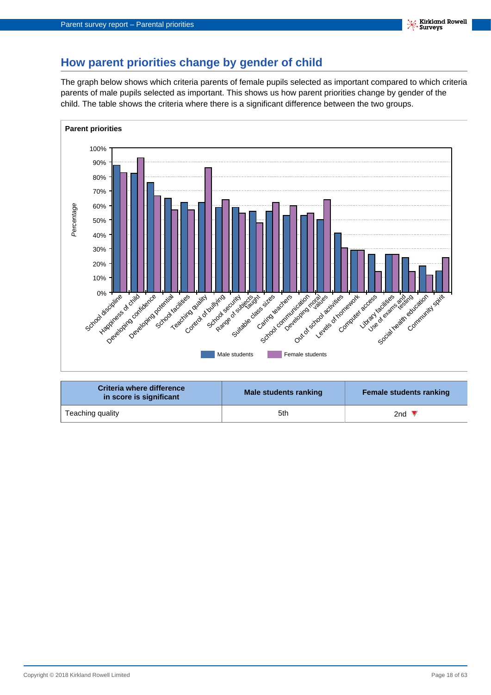## **How parent priorities change by gender of child**

The graph below shows which criteria parents of female pupils selected as important compared to which criteria parents of male pupils selected as important. This shows us how parent priorities change by gender of the child. The table shows the criteria where there is a significant difference between the two groups.



| Criteria where difference<br>in score is significant | Male students ranking | <b>Female students ranking</b> |
|------------------------------------------------------|-----------------------|--------------------------------|
| Teaching quality                                     | 5th                   | 2nd $\blacktriangledown$       |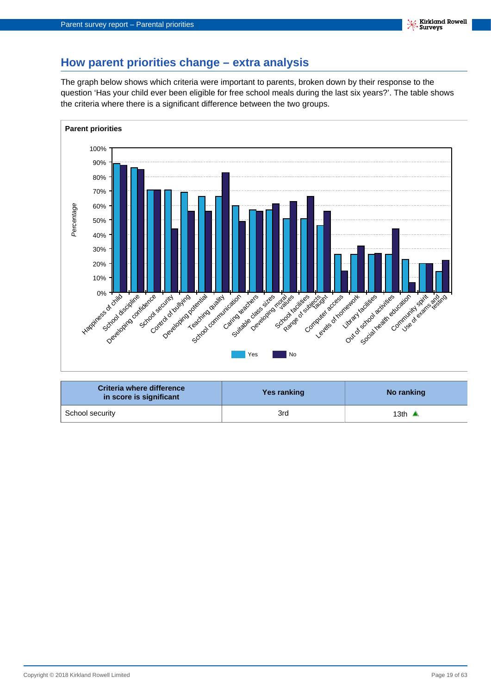## **How parent priorities change – extra analysis**

The graph below shows which criteria were important to parents, broken down by their response to the question 'Has your child ever been eligible for free school meals during the last six years?'. The table shows the criteria where there is a significant difference between the two groups.



| Criteria where difference<br>in score is significant | Yes ranking | No ranking       |
|------------------------------------------------------|-------------|------------------|
| School security                                      | 3rd         | 13th $\triangle$ |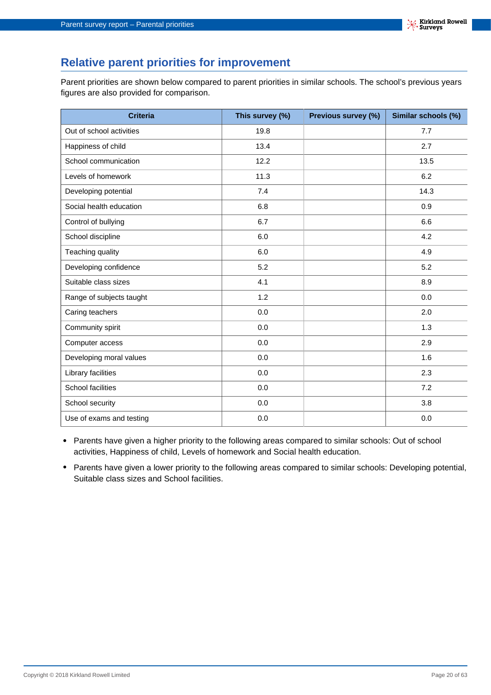## **Relative parent priorities for improvement**

Parent priorities are shown below compared to parent priorities in similar schools. The school's previous years figures are also provided for comparison.

| <b>Criteria</b>          | This survey (%) | Previous survey (%) | Similar schools (%) |
|--------------------------|-----------------|---------------------|---------------------|
| Out of school activities | 19.8            |                     | 7.7                 |
| Happiness of child       | 13.4            |                     | 2.7                 |
| School communication     | 12.2            |                     | 13.5                |
| Levels of homework       | 11.3            |                     | 6.2                 |
| Developing potential     | 7.4             |                     | 14.3                |
| Social health education  | 6.8             |                     | 0.9                 |
| Control of bullying      | 6.7             |                     | 6.6                 |
| School discipline        | 6.0             |                     | 4.2                 |
| Teaching quality         | 6.0             |                     | 4.9                 |
| Developing confidence    | 5.2             |                     | 5.2                 |
| Suitable class sizes     | 4.1             |                     | 8.9                 |
| Range of subjects taught | 1.2             |                     | 0.0                 |
| Caring teachers          | 0.0             |                     | 2.0                 |
| Community spirit         | 0.0             |                     | 1.3                 |
| Computer access          | 0.0             |                     | 2.9                 |
| Developing moral values  | 0.0             |                     | 1.6                 |
| Library facilities       | 0.0             |                     | 2.3                 |
| School facilities        | 0.0             |                     | 7.2                 |
| School security          | 0.0             |                     | 3.8                 |
| Use of exams and testing | 0.0             |                     | 0.0                 |

- **•** Parents have given a higher priority to the following areas compared to similar schools: Out of school activities, Happiness of child, Levels of homework and Social health education.
- **•** Parents have given a lower priority to the following areas compared to similar schools: Developing potential, Suitable class sizes and School facilities.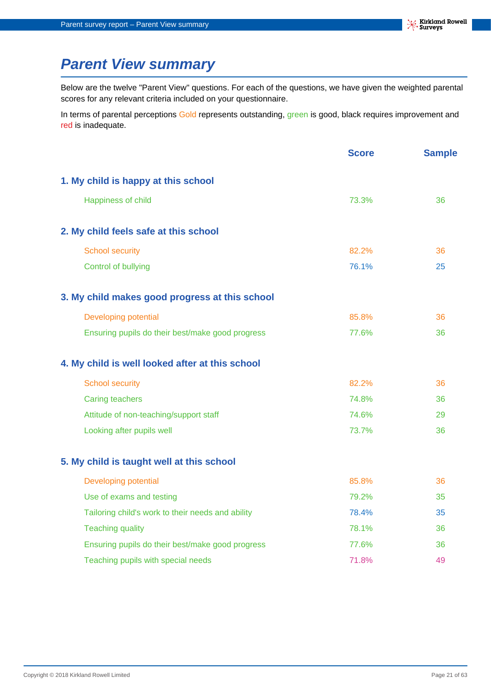# <span id="page-20-0"></span>**Parent View summary**

Below are the twelve "Parent View" questions. For each of the questions, we have given the weighted parental scores for any relevant criteria included on your questionnaire.

In terms of parental perceptions Gold represents outstanding, green is good, black requires improvement and red is inadequate.

|                                                   | <b>Score</b> | <b>Sample</b> |
|---------------------------------------------------|--------------|---------------|
| 1. My child is happy at this school               |              |               |
| Happiness of child                                | 73.3%        | 36            |
| 2. My child feels safe at this school             |              |               |
| <b>School security</b>                            | 82.2%        | 36            |
| <b>Control of bullying</b>                        | 76.1%        | 25            |
| 3. My child makes good progress at this school    |              |               |
| Developing potential                              | 85.8%        | 36            |
| Ensuring pupils do their best/make good progress  | 77.6%        | 36            |
| 4. My child is well looked after at this school   |              |               |
| <b>School security</b>                            | 82.2%        | 36            |
| <b>Caring teachers</b>                            | 74.8%        | 36            |
| Attitude of non-teaching/support staff            | 74.6%        | 29            |
| Looking after pupils well                         | 73.7%        | 36            |
| 5. My child is taught well at this school         |              |               |
| <b>Developing potential</b>                       | 85.8%        | 36            |
| Use of exams and testing                          | 79.2%        | 35            |
| Tailoring child's work to their needs and ability | 78.4%        | 35            |
| <b>Teaching quality</b>                           | 78.1%        | 36            |
| Ensuring pupils do their best/make good progress  | 77.6%        | 36            |
| Teaching pupils with special needs                | 71.8%        | 49            |
|                                                   |              |               |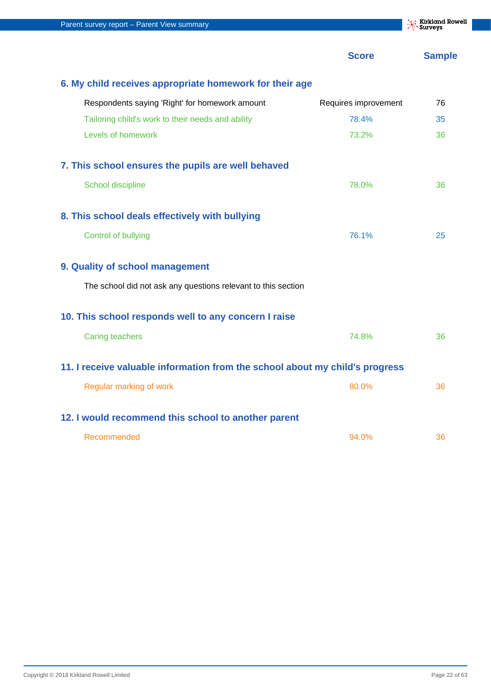| Parent survey report - Parent View summary                                   |                      | <b>X:</b> Kirkland Rowell<br>Surveys |
|------------------------------------------------------------------------------|----------------------|--------------------------------------|
|                                                                              | <b>Score</b>         | <b>Sample</b>                        |
| 6. My child receives appropriate homework for their age                      |                      |                                      |
| Respondents saying 'Right' for homework amount                               | Requires improvement | 76                                   |
| Tailoring child's work to their needs and ability                            | 78.4%                | 35                                   |
| Levels of homework                                                           | 73.2%                | 36                                   |
| 7. This school ensures the pupils are well behaved                           |                      |                                      |
| School discipline                                                            | 78.0%                | 36                                   |
| 8. This school deals effectively with bullying                               |                      |                                      |
| <b>Control of bullying</b>                                                   | 76.1%                | 25                                   |
| 9. Quality of school management                                              |                      |                                      |
| The school did not ask any questions relevant to this section                |                      |                                      |
| 10. This school responds well to any concern I raise                         |                      |                                      |
| <b>Caring teachers</b>                                                       | 74.8%                | 36                                   |
| 11. I receive valuable information from the school about my child's progress |                      |                                      |
| Regular marking of work                                                      | 80.0%                | 36                                   |
| 12. I would recommend this school to another parent                          |                      |                                      |
| Recommended                                                                  | 94.0%                | 36                                   |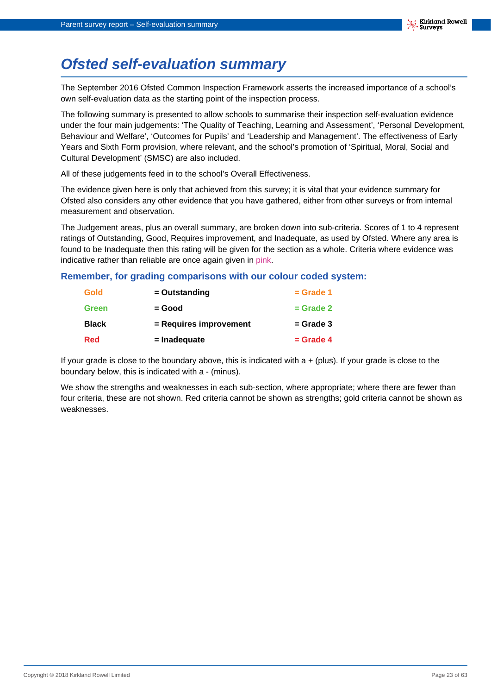# <span id="page-22-0"></span>**Ofsted self-evaluation summary**

The September 2016 Ofsted Common Inspection Framework asserts the increased importance of a school's own self-evaluation data as the starting point of the inspection process.

The following summary is presented to allow schools to summarise their inspection self-evaluation evidence under the four main judgements: 'The Quality of Teaching, Learning and Assessment', 'Personal Development, Behaviour and Welfare', 'Outcomes for Pupils' and 'Leadership and Management'. The effectiveness of Early Years and Sixth Form provision, where relevant, and the school's promotion of 'Spiritual, Moral, Social and Cultural Development' (SMSC) are also included.

All of these judgements feed in to the school's Overall Effectiveness.

The evidence given here is only that achieved from this survey; it is vital that your evidence summary for Ofsted also considers any other evidence that you have gathered, either from other surveys or from internal measurement and observation.

The Judgement areas, plus an overall summary, are broken down into sub-criteria. Scores of 1 to 4 represent ratings of Outstanding, Good, Requires improvement, and Inadequate, as used by Ofsted. Where any area is found to be Inadequate then this rating will be given for the section as a whole. Criteria where evidence was indicative rather than reliable are once again given in pink.

#### **Remember, for grading comparisons with our colour coded system:**

| <b>Gold</b>  | $=$ Outstanding        | $=$ Grade 1 |
|--------------|------------------------|-------------|
| <b>Green</b> | = Good                 | $=$ Grade 2 |
| <b>Black</b> | = Requires improvement | $=$ Grade 3 |
| <b>Red</b>   |                        |             |

If your grade is close to the boundary above, this is indicated with  $a + (plus)$ . If your grade is close to the boundary below, this is indicated with a - (minus).

We show the strengths and weaknesses in each sub-section, where appropriate; where there are fewer than four criteria, these are not shown. Red criteria cannot be shown as strengths; gold criteria cannot be shown as weaknesses.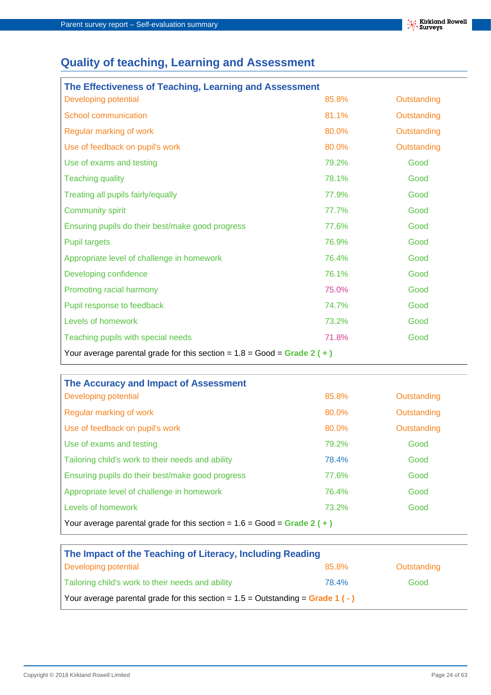## **Quality of teaching, Learning and Assessment**

| The Effectiveness of Teaching, Learning and Assessment                    |       |             |  |
|---------------------------------------------------------------------------|-------|-------------|--|
| Developing potential                                                      | 85.8% | Outstanding |  |
| <b>School communication</b>                                               | 81.1% | Outstanding |  |
| Regular marking of work                                                   | 80.0% | Outstanding |  |
| Use of feedback on pupil's work                                           | 80.0% | Outstanding |  |
| Use of exams and testing                                                  | 79.2% | Good        |  |
| <b>Teaching quality</b>                                                   | 78.1% | Good        |  |
| Treating all pupils fairly/equally                                        | 77.9% | Good        |  |
| <b>Community spirit</b>                                                   | 77.7% | Good        |  |
| Ensuring pupils do their best/make good progress                          | 77.6% | Good        |  |
| <b>Pupil targets</b>                                                      | 76.9% | Good        |  |
| Appropriate level of challenge in homework                                | 76.4% | Good        |  |
| Developing confidence                                                     | 76.1% | Good        |  |
| Promoting racial harmony                                                  | 75.0% | Good        |  |
| Pupil response to feedback                                                | 74.7% | Good        |  |
| Levels of homework                                                        | 73.2% | Good        |  |
| Teaching pupils with special needs                                        | 71.8% | Good        |  |
| Your average parental grade for this section = $1.8 = Good = Grade 2 (+)$ |       |             |  |

| The Accuracy and Impact of Assessment                                     |       |             |  |
|---------------------------------------------------------------------------|-------|-------------|--|
| Developing potential                                                      | 85.8% | Outstanding |  |
| Regular marking of work                                                   | 80.0% | Outstanding |  |
| Use of feedback on pupil's work                                           | 80.0% | Outstanding |  |
| Use of exams and testing                                                  | 79.2% | Good        |  |
| Tailoring child's work to their needs and ability                         | 78.4% | Good        |  |
| Ensuring pupils do their best/make good progress                          | 77.6% | Good        |  |
| Appropriate level of challenge in homework                                | 76.4% | Good        |  |
| Levels of homework                                                        | 73.2% | Good        |  |
| Your average parental grade for this section = $1.6 = Good = Grade 2 (+)$ |       |             |  |

| The Impact of the Teaching of Literacy, Including Reading                        |       |             |  |
|----------------------------------------------------------------------------------|-------|-------------|--|
| Developing potential                                                             | 85.8% | Outstanding |  |
| Tailoring child's work to their needs and ability                                | 78.4% | Good        |  |
| Your average parental grade for this section = $1.5 =$ Outstanding = Grade 1 (-) |       |             |  |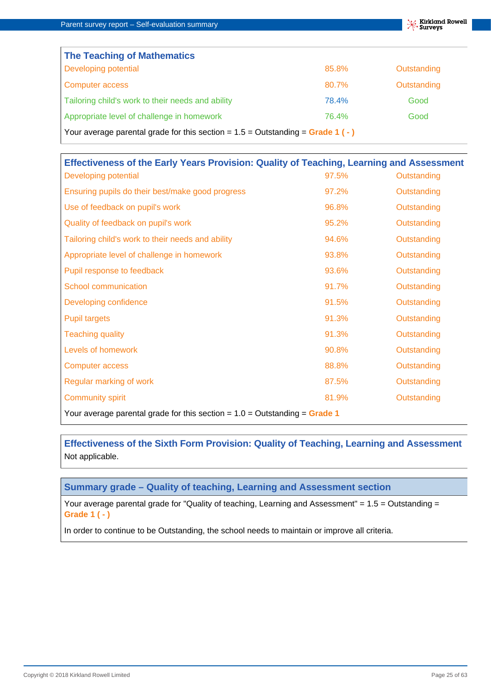| <b>The Teaching of Mathematics</b>                                               |       |             |  |
|----------------------------------------------------------------------------------|-------|-------------|--|
| Developing potential                                                             | 85.8% | Outstanding |  |
| Computer access                                                                  | 80.7% | Outstanding |  |
| Tailoring child's work to their needs and ability                                | 78.4% | Good        |  |
| Appropriate level of challenge in homework                                       | 76.4% | Good        |  |
| Your average parental grade for this section = $1.5 =$ Outstanding = Grade 1 (-) |       |             |  |

| Effectiveness of the Early Years Provision: Quality of Teaching, Learning and Assessment |       |             |
|------------------------------------------------------------------------------------------|-------|-------------|
| Developing potential                                                                     | 97.5% | Outstanding |
| Ensuring pupils do their best/make good progress                                         | 97.2% | Outstanding |
| Use of feedback on pupil's work                                                          | 96.8% | Outstanding |
| Quality of feedback on pupil's work                                                      | 95.2% | Outstanding |
| Tailoring child's work to their needs and ability                                        | 94.6% | Outstanding |
| Appropriate level of challenge in homework                                               | 93.8% | Outstanding |
| Pupil response to feedback                                                               | 93.6% | Outstanding |
| <b>School communication</b>                                                              | 91.7% | Outstanding |
| Developing confidence                                                                    | 91.5% | Outstanding |
| <b>Pupil targets</b>                                                                     | 91.3% | Outstanding |
| <b>Teaching quality</b>                                                                  | 91.3% | Outstanding |
| Levels of homework                                                                       | 90.8% | Outstanding |
| <b>Computer access</b>                                                                   | 88.8% | Outstanding |
| Regular marking of work                                                                  | 87.5% | Outstanding |
| <b>Community spirit</b>                                                                  | 81.9% | Outstanding |
| Your average parental grade for this section = $1.0 =$ Outstanding = Grade 1             |       |             |

**Effectiveness of the Sixth Form Provision: Quality of Teaching, Learning and Assessment** Not applicable.

#### **Summary grade – Quality of teaching, Learning and Assessment section**

Your average parental grade for "Quality of teaching, Learning and Assessment" = 1.5 = Outstanding = **Grade 1 ( - )**

In order to continue to be Outstanding, the school needs to maintain or improve all criteria.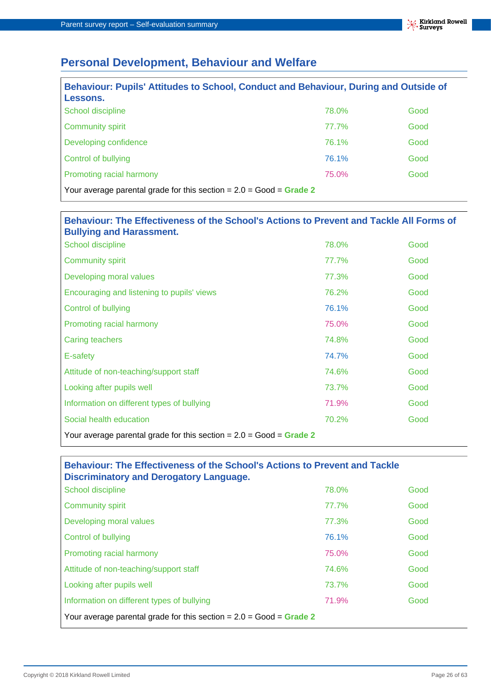## **Personal Development, Behaviour and Welfare**

| Behaviour: Pupils' Attitudes to School, Conduct and Behaviour, During and Outside of<br>Lessons. |       |      |
|--------------------------------------------------------------------------------------------------|-------|------|
| School discipline                                                                                | 78.0% | Good |
| <b>Community spirit</b>                                                                          | 77.7% | Good |
| Developing confidence                                                                            | 76.1% | Good |
| <b>Control of bullying</b>                                                                       | 76.1% | Good |
| Promoting racial harmony                                                                         | 75.0% | Good |
| Your average parental grade for this section = $2.0 = Good = Grade 2$                            |       |      |

| Behaviour: The Effectiveness of the School's Actions to Prevent and Tackle All Forms of<br><b>Bullying and Harassment.</b> |       |      |
|----------------------------------------------------------------------------------------------------------------------------|-------|------|
| School discipline                                                                                                          | 78.0% | Good |
| <b>Community spirit</b>                                                                                                    | 77.7% | Good |
| Developing moral values                                                                                                    | 77.3% | Good |
| Encouraging and listening to pupils' views                                                                                 | 76.2% | Good |
| Control of bullying                                                                                                        | 76.1% | Good |
| Promoting racial harmony                                                                                                   | 75.0% | Good |
| <b>Caring teachers</b>                                                                                                     | 74.8% | Good |
| E-safety                                                                                                                   | 74.7% | Good |
| Attitude of non-teaching/support staff                                                                                     | 74.6% | Good |
| Looking after pupils well                                                                                                  | 73.7% | Good |
| Information on different types of bullying                                                                                 | 71.9% | Good |
| Social health education                                                                                                    | 70.2% | Good |
| Your average parental grade for this section = $2.0 = Good = Grade 2$                                                      |       |      |

### **Behaviour: The Effectiveness of the School's Actions to Prevent and Tackle Discriminatory and Derogatory Language.**

| School discipline                                                     | 78.0% | Good |
|-----------------------------------------------------------------------|-------|------|
| <b>Community spirit</b>                                               | 77.7% | Good |
| Developing moral values                                               | 77.3% | Good |
| Control of bullying                                                   | 76.1% | Good |
| Promoting racial harmony                                              | 75.0% | Good |
| Attitude of non-teaching/support staff                                | 74.6% | Good |
| Looking after pupils well                                             | 73.7% | Good |
| Information on different types of bullying                            | 71.9% | Good |
| Your average parental grade for this section = $2.0 = Good = Grade 2$ |       |      |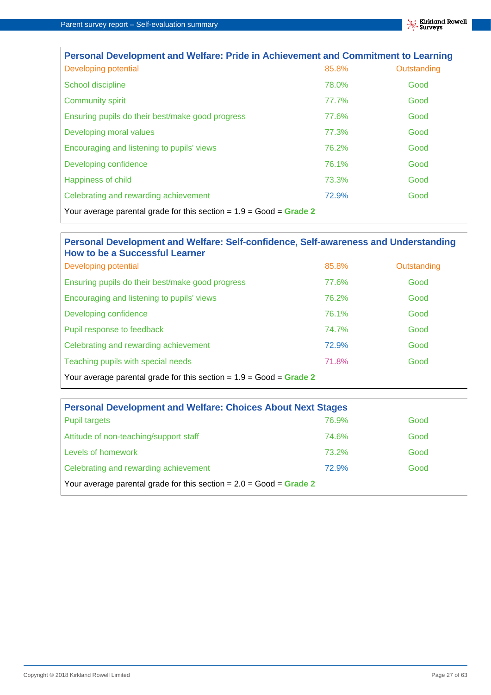| Personal Development and Welfare: Pride in Achievement and Commitment to Learning |       |             |
|-----------------------------------------------------------------------------------|-------|-------------|
| Developing potential                                                              | 85.8% | Outstanding |
| School discipline                                                                 | 78.0% | Good        |
| <b>Community spirit</b>                                                           | 77.7% | Good        |
| Ensuring pupils do their best/make good progress                                  | 77.6% | Good        |
| Developing moral values                                                           | 77.3% | Good        |
| Encouraging and listening to pupils' views                                        | 76.2% | Good        |
| Developing confidence                                                             | 76.1% | Good        |
| Happiness of child                                                                | 73.3% | Good        |
| Celebrating and rewarding achievement                                             | 72.9% | Good        |
| Your average parental grade for this section = $1.9$ = Good = Grade 2             |       |             |

#### **Personal Development and Welfare: Self-confidence, Self-awareness and Understanding How to be a Successful Learner**

| Developing potential                                                  | 85.8% | Outstanding |
|-----------------------------------------------------------------------|-------|-------------|
| Ensuring pupils do their best/make good progress                      | 77.6% | Good        |
| Encouraging and listening to pupils' views                            | 76.2% | Good        |
| Developing confidence                                                 | 76.1% | Good        |
| Pupil response to feedback                                            | 74.7% | Good        |
| Celebrating and rewarding achievement                                 | 72.9% | Good        |
| Teaching pupils with special needs                                    | 71.8% | Good        |
| Your average parental grade for this section = $1.9$ = Good = Grade 2 |       |             |

| <b>Personal Development and Welfare: Choices About Next Stages</b>    |       |      |  |
|-----------------------------------------------------------------------|-------|------|--|
| <b>Pupil targets</b>                                                  | 76.9% | Good |  |
| Attitude of non-teaching/support staff                                | 74.6% | Good |  |
| Levels of homework                                                    | 73.2% | Good |  |
| Celebrating and rewarding achievement                                 | 72.9% | Good |  |
| Your average parental grade for this section = $2.0 = Good = Grade 2$ |       |      |  |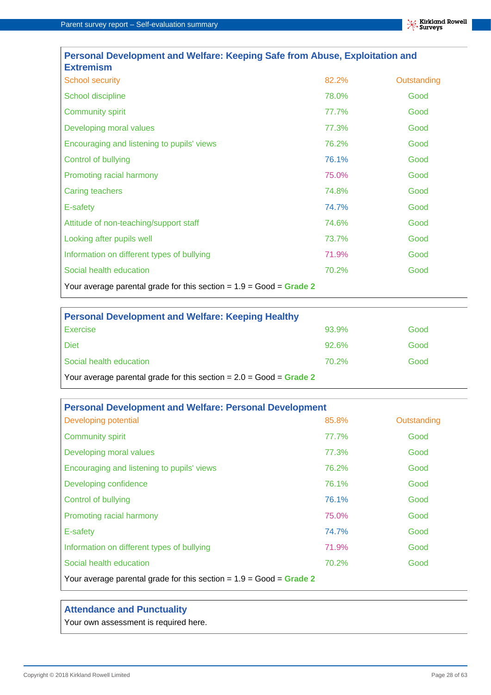| Personal Development and Welfare: Keeping Safe from Abuse, Exploitation and<br><b>Extremism</b> |       |             |
|-------------------------------------------------------------------------------------------------|-------|-------------|
| <b>School security</b>                                                                          | 82.2% | Outstanding |
| School discipline                                                                               | 78.0% | Good        |
| <b>Community spirit</b>                                                                         | 77.7% | Good        |
| Developing moral values                                                                         | 77.3% | Good        |
| Encouraging and listening to pupils' views                                                      | 76.2% | Good        |
| Control of bullying                                                                             | 76.1% | Good        |
| Promoting racial harmony                                                                        | 75.0% | Good        |
| Caring teachers                                                                                 | 74.8% | Good        |
| E-safety                                                                                        | 74.7% | Good        |
| Attitude of non-teaching/support staff                                                          | 74.6% | Good        |
| Looking after pupils well                                                                       | 73.7% | Good        |
| Information on different types of bullying                                                      | 71.9% | Good        |
| Social health education                                                                         | 70.2% | Good        |
| Your average parental grade for this section = $1.9 = Good = Grade 2$                           |       |             |

| <b>Personal Development and Welfare: Keeping Healthy</b>              |       |      |  |
|-----------------------------------------------------------------------|-------|------|--|
| <b>Exercise</b>                                                       | 93.9% | Good |  |
| <b>Diet</b>                                                           | 92.6% | Good |  |
| Social health education                                               | 70.2% | Good |  |
| Your average parental grade for this section = $2.0 = Good = Grade 2$ |       |      |  |

| <b>Personal Development and Welfare: Personal Development</b>         |       |             |
|-----------------------------------------------------------------------|-------|-------------|
| Developing potential                                                  | 85.8% | Outstanding |
| <b>Community spirit</b>                                               | 77.7% | Good        |
| Developing moral values                                               | 77.3% | Good        |
| Encouraging and listening to pupils' views                            | 76.2% | Good        |
| Developing confidence                                                 | 76.1% | Good        |
| <b>Control of bullying</b>                                            | 76.1% | Good        |
| Promoting racial harmony                                              | 75.0% | Good        |
| E-safety                                                              | 74.7% | Good        |
| Information on different types of bullying                            | 71.9% | Good        |
| Social health education                                               | 70.2% | Good        |
| Your average parental grade for this section = $1.9 = Good = Grade 2$ |       |             |

#### **Attendance and Punctuality**

Your own assessment is required here.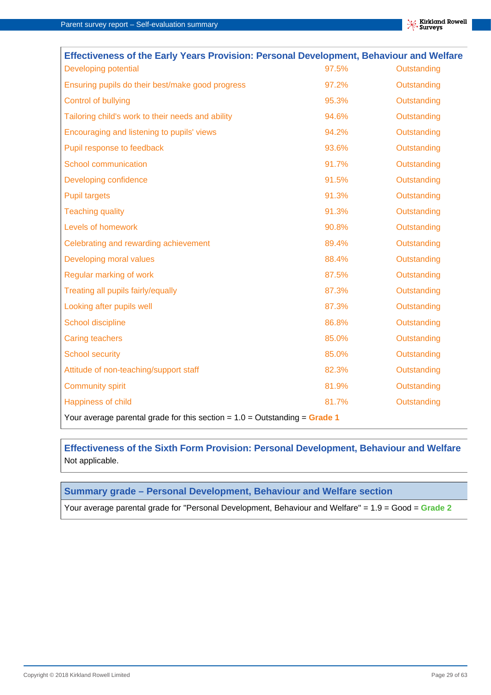| Effectiveness of the Early Years Provision: Personal Development, Behaviour and Welfare |       |             |
|-----------------------------------------------------------------------------------------|-------|-------------|
| Developing potential                                                                    | 97.5% | Outstanding |
| Ensuring pupils do their best/make good progress                                        | 97.2% | Outstanding |
| Control of bullying                                                                     | 95.3% | Outstanding |
| Tailoring child's work to their needs and ability                                       | 94.6% | Outstanding |
| Encouraging and listening to pupils' views                                              | 94.2% | Outstanding |
| Pupil response to feedback                                                              | 93.6% | Outstanding |
| School communication                                                                    | 91.7% | Outstanding |
| Developing confidence                                                                   | 91.5% | Outstanding |
| <b>Pupil targets</b>                                                                    | 91.3% | Outstanding |
| <b>Teaching quality</b>                                                                 | 91.3% | Outstanding |
| Levels of homework                                                                      | 90.8% | Outstanding |
| Celebrating and rewarding achievement                                                   | 89.4% | Outstanding |
| Developing moral values                                                                 | 88.4% | Outstanding |
| Regular marking of work                                                                 | 87.5% | Outstanding |
| Treating all pupils fairly/equally                                                      | 87.3% | Outstanding |
| Looking after pupils well                                                               | 87.3% | Outstanding |
| School discipline                                                                       | 86.8% | Outstanding |
| <b>Caring teachers</b>                                                                  | 85.0% | Outstanding |
| <b>School security</b>                                                                  | 85.0% | Outstanding |
| Attitude of non-teaching/support staff                                                  | 82.3% | Outstanding |
| <b>Community spirit</b>                                                                 | 81.9% | Outstanding |
| Happiness of child                                                                      | 81.7% | Outstanding |
| Your average parental grade for this section = $1.0 =$ Outstanding = Grade 1            |       |             |

**Effectiveness of the Sixth Form Provision: Personal Development, Behaviour and Welfare** Not applicable.

#### **Summary grade – Personal Development, Behaviour and Welfare section**

Your average parental grade for "Personal Development, Behaviour and Welfare" = 1.9 = Good = **Grade 2**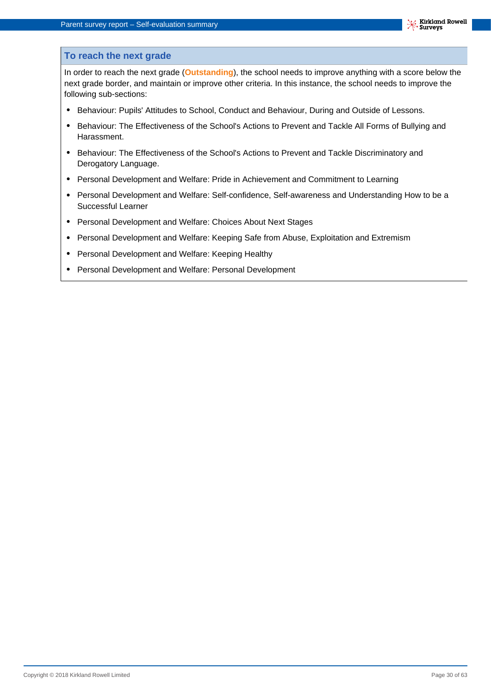#### **To reach the next grade**

In order to reach the next grade (**Outstanding**), the school needs to improve anything with a score below the next grade border, and maintain or improve other criteria. In this instance, the school needs to improve the following sub-sections:

- **•** Behaviour: Pupils' Attitudes to School, Conduct and Behaviour, During and Outside of Lessons.
- **•** Behaviour: The Effectiveness of the School's Actions to Prevent and Tackle All Forms of Bullying and Harassment.
- **•** Behaviour: The Effectiveness of the School's Actions to Prevent and Tackle Discriminatory and Derogatory Language.
- **•** Personal Development and Welfare: Pride in Achievement and Commitment to Learning
- **•** Personal Development and Welfare: Self-confidence, Self-awareness and Understanding How to be a Successful Learner
- **•** Personal Development and Welfare: Choices About Next Stages
- **•** Personal Development and Welfare: Keeping Safe from Abuse, Exploitation and Extremism
- **•** Personal Development and Welfare: Keeping Healthy
- **•** Personal Development and Welfare: Personal Development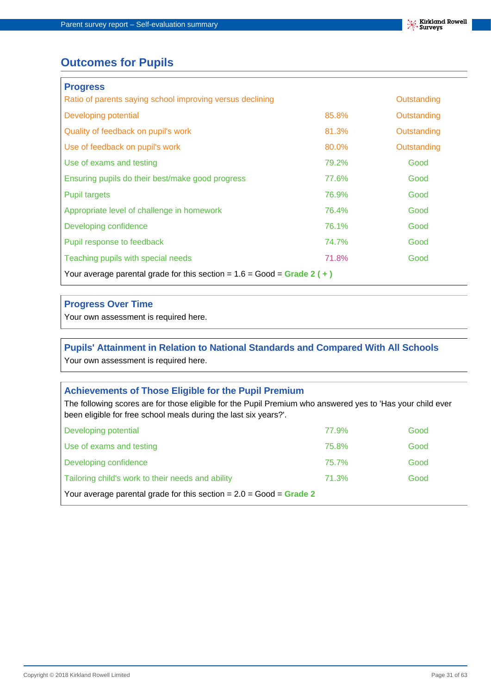

## **Outcomes for Pupils**

| <b>Progress</b>                                                           |       |             |
|---------------------------------------------------------------------------|-------|-------------|
| Ratio of parents saying school improving versus declining                 |       | Outstanding |
| Developing potential                                                      | 85.8% | Outstanding |
| Quality of feedback on pupil's work                                       | 81.3% | Outstanding |
| Use of feedback on pupil's work                                           | 80.0% | Outstanding |
| Use of exams and testing                                                  | 79.2% | Good        |
| Ensuring pupils do their best/make good progress                          | 77.6% | Good        |
| Pupil targets                                                             | 76.9% | Good        |
| Appropriate level of challenge in homework                                | 76.4% | Good        |
| Developing confidence                                                     | 76.1% | Good        |
| Pupil response to feedback                                                | 74.7% | Good        |
| Teaching pupils with special needs                                        | 71.8% | Good        |
| Your average parental grade for this section = $1.6 = Good = Grade 2 (+)$ |       |             |

#### **Progress Over Time**

Your own assessment is required here.

#### **Pupils' Attainment in Relation to National Standards and Compared With All Schools** Your own assessment is required here.

#### **Achievements of Those Eligible for the Pupil Premium**

The following scores are for those eligible for the Pupil Premium who answered yes to 'Has your child ever been eligible for free school meals during the last six years?'.

| Developing potential                                                  | 77.9% | Good |
|-----------------------------------------------------------------------|-------|------|
| Use of exams and testing                                              | 75.8% | Good |
| Developing confidence                                                 | 75.7% | Good |
| Tailoring child's work to their needs and ability                     | 71.3% | Good |
| Your average parental grade for this section = $2.0 = Good = Grade 2$ |       |      |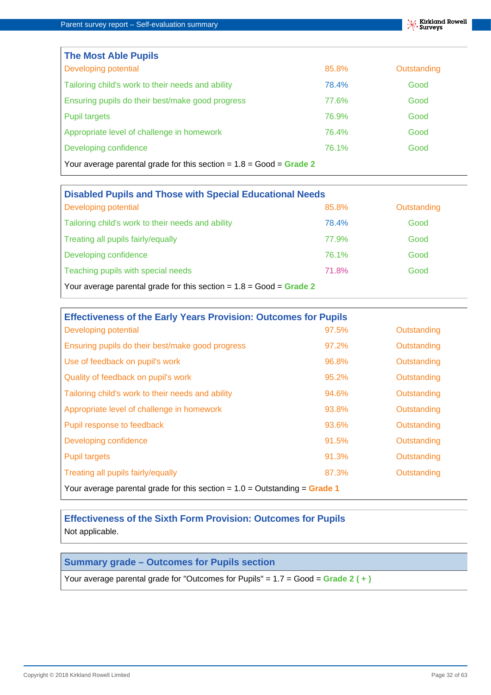$\overline{1}$ 

| <b>The Most Able Pupils</b>                                           |       |             |
|-----------------------------------------------------------------------|-------|-------------|
| Developing potential                                                  | 85.8% | Outstanding |
| Tailoring child's work to their needs and ability                     | 78.4% | Good        |
| Ensuring pupils do their best/make good progress                      | 77.6% | Good        |
| <b>Pupil targets</b>                                                  | 76.9% | Good        |
| Appropriate level of challenge in homework                            | 76.4% | Good        |
| Developing confidence                                                 | 76.1% | Good        |
| Your average parental grade for this section = $1.8 = Good = Grade 2$ |       |             |

| <b>Disabled Pupils and Those with Special Educational Needs</b>       |       |             |  |
|-----------------------------------------------------------------------|-------|-------------|--|
| Developing potential                                                  | 85.8% | Outstanding |  |
| Tailoring child's work to their needs and ability                     | 78.4% | Good        |  |
| Treating all pupils fairly/equally                                    | 77.9% | Good        |  |
| Developing confidence                                                 | 76.1% | Good        |  |
| Teaching pupils with special needs                                    | 71.8% | Good        |  |
| Your average parental grade for this section = $1.8 = Good = Grade 2$ |       |             |  |

| <b>Effectiveness of the Early Years Provision: Outcomes for Pupils</b>       |       |             |
|------------------------------------------------------------------------------|-------|-------------|
| Developing potential                                                         | 97.5% | Outstanding |
| Ensuring pupils do their best/make good progress                             | 97.2% | Outstanding |
| Use of feedback on pupil's work                                              | 96.8% | Outstanding |
| Quality of feedback on pupil's work                                          | 95.2% | Outstanding |
| Tailoring child's work to their needs and ability                            | 94.6% | Outstanding |
| Appropriate level of challenge in homework                                   | 93.8% | Outstanding |
| Pupil response to feedback                                                   | 93.6% | Outstanding |
| Developing confidence                                                        | 91.5% | Outstanding |
| <b>Pupil targets</b>                                                         | 91.3% | Outstanding |
| Treating all pupils fairly/equally                                           | 87.3% | Outstanding |
| Your average parental grade for this section = $1.0 =$ Outstanding = Grade 1 |       |             |

**Effectiveness of the Sixth Form Provision: Outcomes for Pupils** Not applicable.

#### **Summary grade – Outcomes for Pupils section**

Your average parental grade for "Outcomes for Pupils" = 1.7 = Good = **Grade 2 ( + )**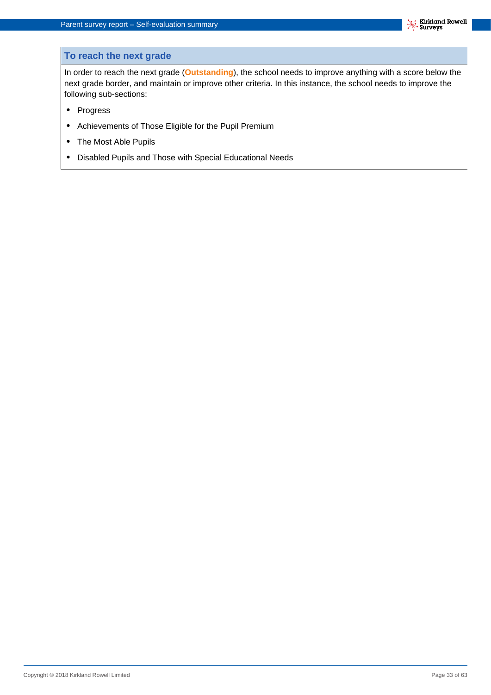#### **To reach the next grade**

In order to reach the next grade (**Outstanding**), the school needs to improve anything with a score below the next grade border, and maintain or improve other criteria. In this instance, the school needs to improve the following sub-sections:

- **•** Progress
- **•** Achievements of Those Eligible for the Pupil Premium
- **•** The Most Able Pupils
- **•** Disabled Pupils and Those with Special Educational Needs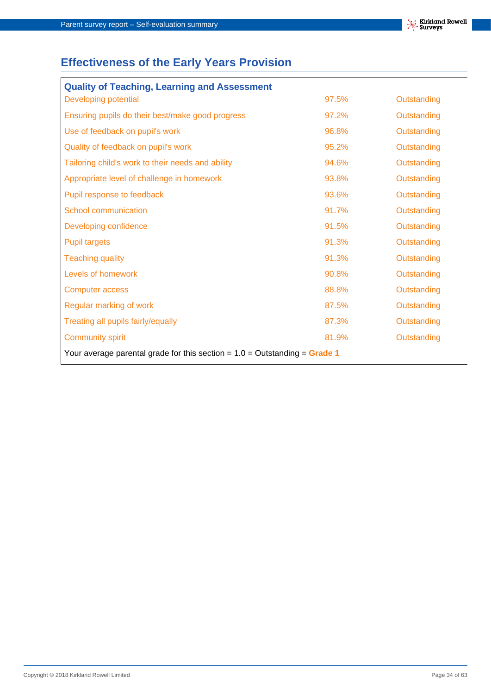## **Effectiveness of the Early Years Provision**

| <b>Quality of Teaching, Learning and Assessment</b>                          |       |             |
|------------------------------------------------------------------------------|-------|-------------|
| Developing potential                                                         | 97.5% | Outstanding |
| Ensuring pupils do their best/make good progress                             | 97.2% | Outstanding |
| Use of feedback on pupil's work                                              | 96.8% | Outstanding |
| Quality of feedback on pupil's work                                          | 95.2% | Outstanding |
| Tailoring child's work to their needs and ability                            | 94.6% | Outstanding |
| Appropriate level of challenge in homework                                   | 93.8% | Outstanding |
| Pupil response to feedback                                                   | 93.6% | Outstanding |
| <b>School communication</b>                                                  | 91.7% | Outstanding |
| Developing confidence                                                        | 91.5% | Outstanding |
| <b>Pupil targets</b>                                                         | 91.3% | Outstanding |
| <b>Teaching quality</b>                                                      | 91.3% | Outstanding |
| Levels of homework                                                           | 90.8% | Outstanding |
| <b>Computer access</b>                                                       | 88.8% | Outstanding |
| Regular marking of work                                                      | 87.5% | Outstanding |
| Treating all pupils fairly/equally                                           | 87.3% | Outstanding |
| <b>Community spirit</b>                                                      | 81.9% | Outstanding |
| Your average parental grade for this section = $1.0$ = Outstanding = Grade 1 |       |             |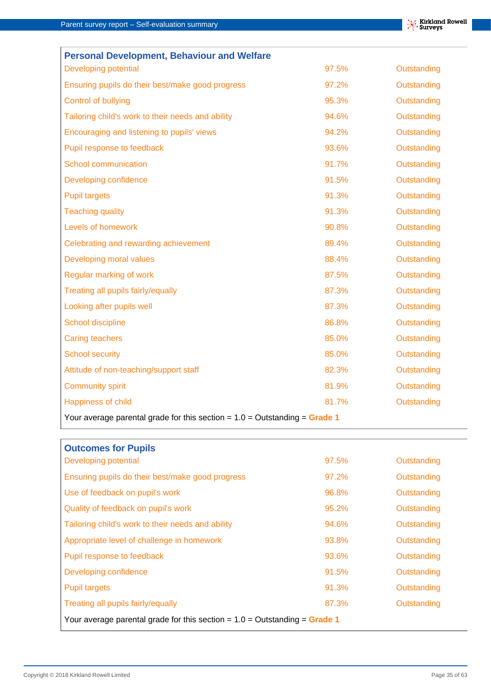| <b>Personal Development, Behaviour and Welfare</b>                           |       |             |
|------------------------------------------------------------------------------|-------|-------------|
| Developing potential                                                         | 97.5% | Outstanding |
| Ensuring pupils do their best/make good progress                             | 97.2% | Outstanding |
| Control of bullying                                                          | 95.3% | Outstanding |
| Tailoring child's work to their needs and ability                            | 94.6% | Outstanding |
| Encouraging and listening to pupils' views                                   | 94.2% | Outstanding |
| Pupil response to feedback                                                   | 93.6% | Outstanding |
| School communication                                                         | 91.7% | Outstanding |
| Developing confidence                                                        | 91.5% | Outstanding |
| <b>Pupil targets</b>                                                         | 91.3% | Outstanding |
| <b>Teaching quality</b>                                                      | 91.3% | Outstanding |
| Levels of homework                                                           | 90.8% | Outstanding |
| Celebrating and rewarding achievement                                        | 89.4% | Outstanding |
| Developing moral values                                                      | 88.4% | Outstanding |
| Regular marking of work                                                      | 87.5% | Outstanding |
| Treating all pupils fairly/equally                                           | 87.3% | Outstanding |
| Looking after pupils well                                                    | 87.3% | Outstanding |
| School discipline                                                            | 86.8% | Outstanding |
| <b>Caring teachers</b>                                                       | 85.0% | Outstanding |
| <b>School security</b>                                                       | 85.0% | Outstanding |
| Attitude of non-teaching/support staff                                       | 82.3% | Outstanding |
| <b>Community spirit</b>                                                      | 81.9% | Outstanding |
| Happiness of child                                                           | 81.7% | Outstanding |
| Your average parental grade for this section = $1.0 =$ Outstanding = Grade 1 |       |             |

| <b>Outcomes for Pupils</b>                                                   |       |             |
|------------------------------------------------------------------------------|-------|-------------|
| <b>Developing potential</b>                                                  | 97.5% | Outstanding |
| Ensuring pupils do their best/make good progress                             | 97.2% | Outstanding |
| Use of feedback on pupil's work                                              | 96.8% | Outstanding |
| Quality of feedback on pupil's work                                          | 95.2% | Outstanding |
| Tailoring child's work to their needs and ability                            | 94.6% | Outstanding |
| Appropriate level of challenge in homework                                   | 93.8% | Outstanding |
| Pupil response to feedback                                                   | 93.6% | Outstanding |
| Developing confidence                                                        | 91.5% | Outstanding |
| <b>Pupil targets</b>                                                         | 91.3% | Outstanding |
| Treating all pupils fairly/equally                                           | 87.3% | Outstanding |
| Your average parental grade for this section = $1.0 =$ Outstanding = Grade 1 |       |             |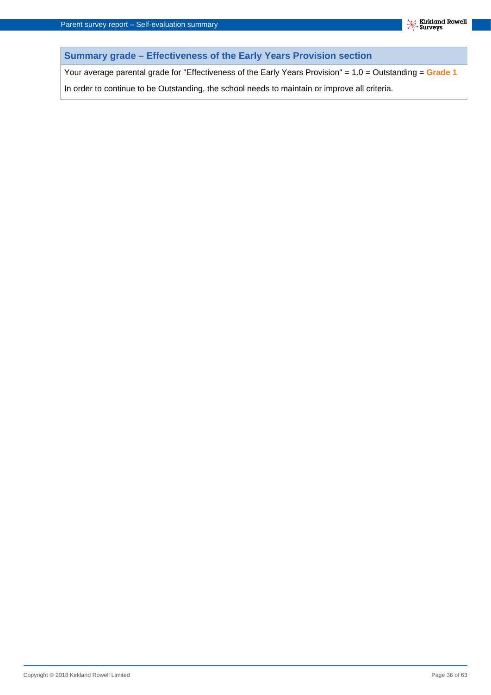**Summary grade – Effectiveness of the Early Years Provision section**

Your average parental grade for "Effectiveness of the Early Years Provision" = 1.0 = Outstanding = **Grade 1**

In order to continue to be Outstanding, the school needs to maintain or improve all criteria.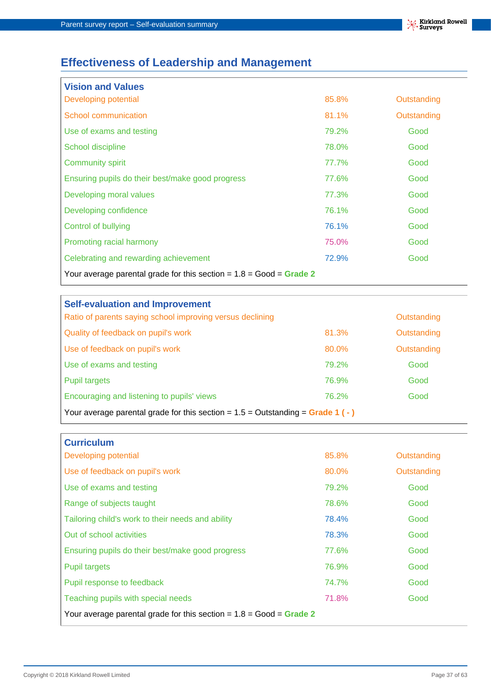## **Effectiveness of Leadership and Management**

| <b>Vision and Values</b>                                              |       |             |
|-----------------------------------------------------------------------|-------|-------------|
| Developing potential                                                  | 85.8% | Outstanding |
| School communication                                                  | 81.1% | Outstanding |
| Use of exams and testing                                              | 79.2% | Good        |
| School discipline                                                     | 78.0% | Good        |
| <b>Community spirit</b>                                               | 77.7% | Good        |
| Ensuring pupils do their best/make good progress                      | 77.6% | Good        |
| Developing moral values                                               | 77.3% | Good        |
| Developing confidence                                                 | 76.1% | Good        |
| <b>Control of bullying</b>                                            | 76.1% | Good        |
| Promoting racial harmony                                              | 75.0% | Good        |
| Celebrating and rewarding achievement                                 | 72.9% | Good        |
| Your average parental grade for this section = $1.8 = Good = Grade 2$ |       |             |

| <b>Self-evaluation and Improvement</b>                                           |       |             |
|----------------------------------------------------------------------------------|-------|-------------|
| Ratio of parents saying school improving versus declining                        |       | Outstanding |
| Quality of feedback on pupil's work                                              | 81.3% | Outstanding |
| Use of feedback on pupil's work                                                  | 80.0% | Outstanding |
| Use of exams and testing                                                         | 79.2% | Good        |
| <b>Pupil targets</b>                                                             | 76.9% | Good        |
| Encouraging and listening to pupils' views                                       | 76.2% | Good        |
| Your average parental grade for this section = $1.5$ = Outstanding = Grade 1 (-) |       |             |

| <b>Curriculum</b>                                                     |       |             |
|-----------------------------------------------------------------------|-------|-------------|
| <b>Developing potential</b>                                           | 85.8% | Outstanding |
| Use of feedback on pupil's work                                       | 80.0% | Outstanding |
| Use of exams and testing                                              | 79.2% | Good        |
| Range of subjects taught                                              | 78.6% | Good        |
| Tailoring child's work to their needs and ability                     | 78.4% | Good        |
| Out of school activities                                              | 78.3% | Good        |
| Ensuring pupils do their best/make good progress                      | 77.6% | Good        |
| <b>Pupil targets</b>                                                  | 76.9% | Good        |
| Pupil response to feedback                                            | 74.7% | Good        |
| Teaching pupils with special needs                                    | 71.8% | Good        |
| Your average parental grade for this section = $1.8 = Good = Grade 2$ |       |             |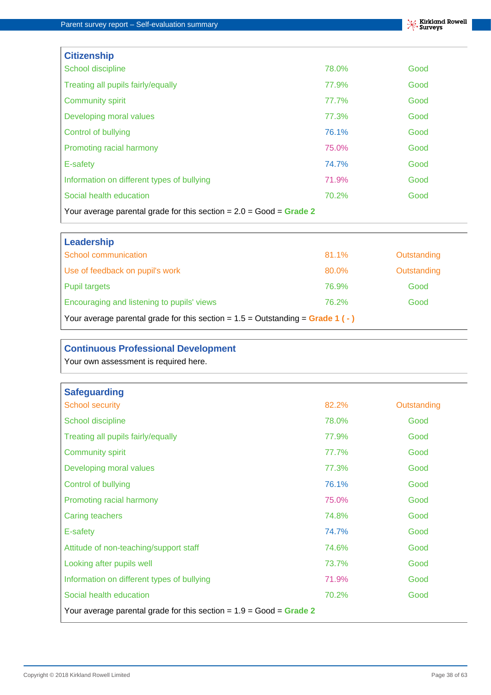| <b>Citizenship</b>                                                    |       |      |
|-----------------------------------------------------------------------|-------|------|
| School discipline                                                     | 78.0% | Good |
| Treating all pupils fairly/equally                                    | 77.9% | Good |
| <b>Community spirit</b>                                               | 77.7% | Good |
| Developing moral values                                               | 77.3% | Good |
| <b>Control of bullying</b>                                            | 76.1% | Good |
| Promoting racial harmony                                              | 75.0% | Good |
| E-safety                                                              | 74.7% | Good |
| Information on different types of bullying                            | 71.9% | Good |
| Social health education                                               | 70.2% | Good |
| Your average parental grade for this section = $2.0 = Good = Grade 2$ |       |      |

| Leadership                                                                       |       |             |
|----------------------------------------------------------------------------------|-------|-------------|
| School communication                                                             | 81.1% | Outstanding |
| Use of feedback on pupil's work                                                  | 80.0% | Outstanding |
| <b>Pupil targets</b>                                                             | 76.9% | Good        |
| Encouraging and listening to pupils' views                                       | 76.2% | Good        |
| Your average parental grade for this section = $1.5$ = Outstanding = Grade 1 (-) |       |             |

#### **Continuous Professional Development**

Your own assessment is required here.

| <b>Safeguarding</b>                                                   |       |             |  |  |  |  |
|-----------------------------------------------------------------------|-------|-------------|--|--|--|--|
| <b>School security</b>                                                | 82.2% | Outstanding |  |  |  |  |
| School discipline                                                     | 78.0% | Good        |  |  |  |  |
| Treating all pupils fairly/equally                                    | 77.9% | Good        |  |  |  |  |
| <b>Community spirit</b>                                               | 77.7% | Good        |  |  |  |  |
| Developing moral values                                               | 77.3% | Good        |  |  |  |  |
| <b>Control of bullying</b>                                            | 76.1% | Good        |  |  |  |  |
| Promoting racial harmony                                              | 75.0% | Good        |  |  |  |  |
| Caring teachers                                                       | 74.8% | Good        |  |  |  |  |
| E-safety                                                              | 74.7% | Good        |  |  |  |  |
| Attitude of non-teaching/support staff                                | 74.6% | Good        |  |  |  |  |
| Looking after pupils well                                             | 73.7% | Good        |  |  |  |  |
| Information on different types of bullying                            | 71.9% | Good        |  |  |  |  |
| Social health education                                               | 70.2% | Good        |  |  |  |  |
| Your average parental grade for this section = $1.9$ = Good = Grade 2 |       |             |  |  |  |  |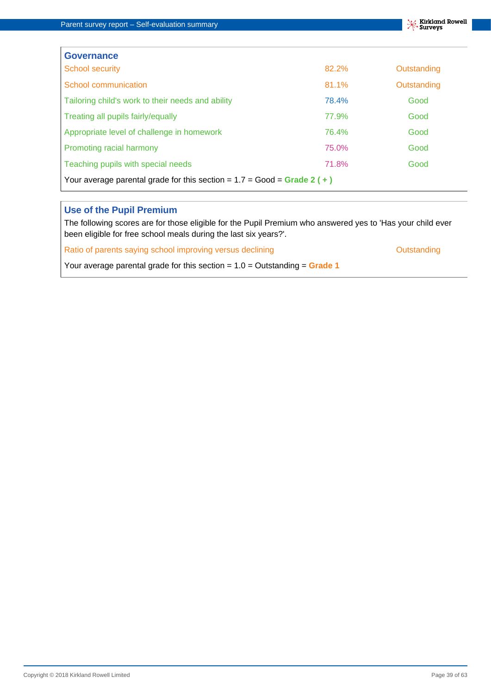$\overline{1}$ 



| <b>Governance</b>                                                         |       |             |
|---------------------------------------------------------------------------|-------|-------------|
| <b>School security</b>                                                    | 82.2% | Outstanding |
| School communication                                                      | 81.1% | Outstanding |
| Tailoring child's work to their needs and ability                         | 78.4% | Good        |
| Treating all pupils fairly/equally                                        | 77.9% | Good        |
| Appropriate level of challenge in homework                                | 76.4% | Good        |
| Promoting racial harmony                                                  | 75.0% | Good        |
| Teaching pupils with special needs                                        | 71.8% | Good        |
| Your average parental grade for this section = $1.7 = Good = Grade 2 (+)$ |       |             |

#### **Use of the Pupil Premium**

The following scores are for those eligible for the Pupil Premium who answered yes to 'Has your child ever been eligible for free school meals during the last six years?'.

Ratio of parents saying school improving versus declining and a state of parents of Dutstanding

Your average parental grade for this section = 1.0 = Outstanding = **Grade 1**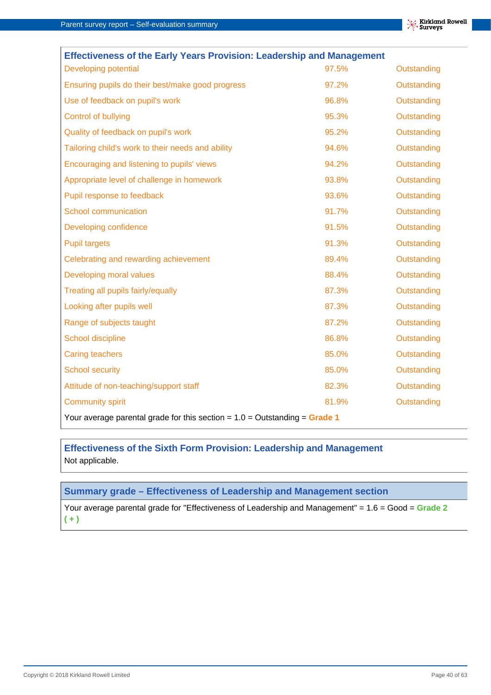| <b>Effectiveness of the Early Years Provision: Leadership and Management</b> |       |             |  |  |  |  |  |
|------------------------------------------------------------------------------|-------|-------------|--|--|--|--|--|
| Developing potential                                                         | 97.5% | Outstanding |  |  |  |  |  |
| Ensuring pupils do their best/make good progress                             | 97.2% | Outstanding |  |  |  |  |  |
| Use of feedback on pupil's work                                              | 96.8% | Outstanding |  |  |  |  |  |
| Control of bullying                                                          | 95.3% | Outstanding |  |  |  |  |  |
| Quality of feedback on pupil's work                                          | 95.2% | Outstanding |  |  |  |  |  |
| Tailoring child's work to their needs and ability                            | 94.6% | Outstanding |  |  |  |  |  |
| Encouraging and listening to pupils' views                                   | 94.2% | Outstanding |  |  |  |  |  |
| Appropriate level of challenge in homework                                   | 93.8% | Outstanding |  |  |  |  |  |
| Pupil response to feedback                                                   | 93.6% | Outstanding |  |  |  |  |  |
| School communication                                                         | 91.7% | Outstanding |  |  |  |  |  |
| Developing confidence                                                        | 91.5% | Outstanding |  |  |  |  |  |
| <b>Pupil targets</b>                                                         | 91.3% | Outstanding |  |  |  |  |  |
| Celebrating and rewarding achievement                                        | 89.4% | Outstanding |  |  |  |  |  |
| Developing moral values                                                      | 88.4% | Outstanding |  |  |  |  |  |
| Treating all pupils fairly/equally                                           | 87.3% | Outstanding |  |  |  |  |  |
| Looking after pupils well                                                    | 87.3% | Outstanding |  |  |  |  |  |
| Range of subjects taught                                                     | 87.2% | Outstanding |  |  |  |  |  |
| School discipline                                                            | 86.8% | Outstanding |  |  |  |  |  |
| <b>Caring teachers</b>                                                       | 85.0% | Outstanding |  |  |  |  |  |
| <b>School security</b>                                                       | 85.0% | Outstanding |  |  |  |  |  |
| Attitude of non-teaching/support staff                                       | 82.3% | Outstanding |  |  |  |  |  |
| <b>Community spirit</b>                                                      | 81.9% | Outstanding |  |  |  |  |  |
| Your average parental grade for this section = $1.0 =$ Outstanding = Grade 1 |       |             |  |  |  |  |  |

#### **Effectiveness of the Sixth Form Provision: Leadership and Management** Not applicable.

#### **Summary grade – Effectiveness of Leadership and Management section**

Your average parental grade for "Effectiveness of Leadership and Management" = 1.6 = Good = **Grade 2 ( + )**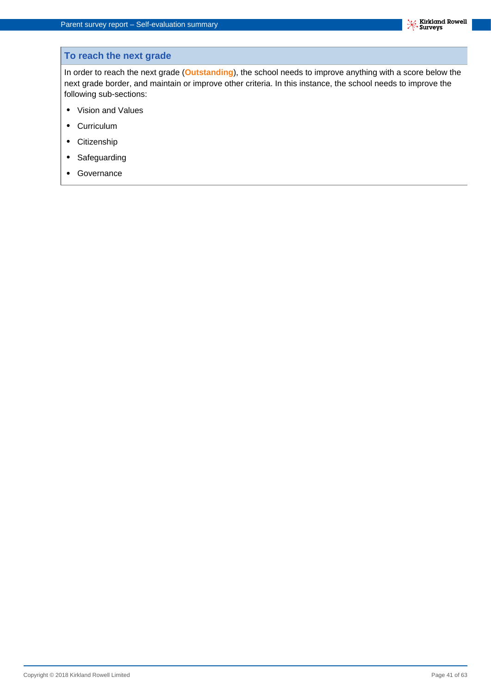#### **To reach the next grade**

In order to reach the next grade (**Outstanding**), the school needs to improve anything with a score below the next grade border, and maintain or improve other criteria. In this instance, the school needs to improve the following sub-sections:

- **•** Vision and Values
- **•** Curriculum
- **•** Citizenship
- **•** Safeguarding
- **•** Governance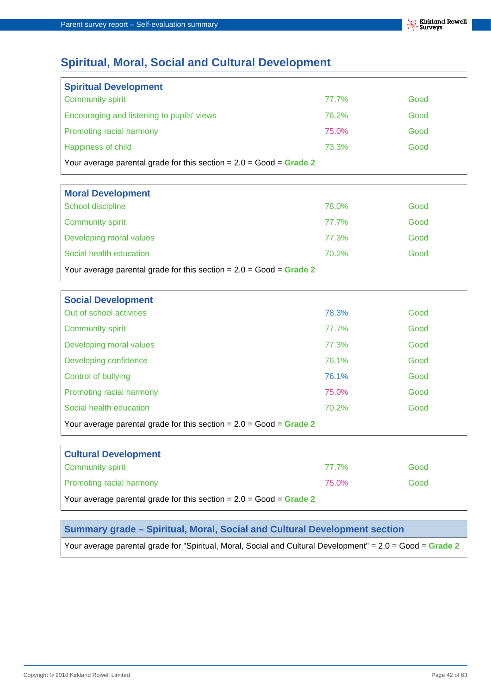## **Spiritual, Moral, Social and Cultural Development**

| <b>Spiritual Development</b>                                          |       |      |  |  |  |
|-----------------------------------------------------------------------|-------|------|--|--|--|
| <b>Community spirit</b>                                               | 77.7% | Good |  |  |  |
| Encouraging and listening to pupils' views                            | 76.2% | Good |  |  |  |
| Promoting racial harmony                                              | 75.0% | Good |  |  |  |
| Happiness of child                                                    | 73.3% | Good |  |  |  |
| Your average parental grade for this section = $2.0 = Good = Grade 2$ |       |      |  |  |  |

| <b>Moral Development</b>                                              |       |      |  |  |  |
|-----------------------------------------------------------------------|-------|------|--|--|--|
| School discipline                                                     | 78.0% | Good |  |  |  |
| <b>Community spirit</b>                                               | 77.7% | Good |  |  |  |
| Developing moral values                                               | 77.3% | Good |  |  |  |
| Social health education                                               | 70.2% | Good |  |  |  |
| Your average parental grade for this section = $2.0 = Good = Grade 2$ |       |      |  |  |  |

| <b>Social Development</b>                                             |       |      |  |  |  |
|-----------------------------------------------------------------------|-------|------|--|--|--|
| Out of school activities                                              | 78.3% | Good |  |  |  |
| <b>Community spirit</b>                                               | 77.7% | Good |  |  |  |
| Developing moral values                                               | 77.3% | Good |  |  |  |
| Developing confidence                                                 | 76.1% | Good |  |  |  |
| Control of bullying                                                   | 76.1% | Good |  |  |  |
| Promoting racial harmony                                              | 75.0% | Good |  |  |  |
| Social health education                                               | 70.2% | Good |  |  |  |
| Your average parental grade for this section = $2.0 = Good = Grade 2$ |       |      |  |  |  |

| <b>Cultural Development</b>                                           |       |      |  |  |  |
|-----------------------------------------------------------------------|-------|------|--|--|--|
| <b>Community spirit</b>                                               | 77.7% | Good |  |  |  |
| <b>Promoting racial harmony</b>                                       | 75.0% | Good |  |  |  |
| Your average parental grade for this section = $2.0$ = Good = Grade 2 |       |      |  |  |  |

#### **Summary grade – Spiritual, Moral, Social and Cultural Development section**

Your average parental grade for "Spiritual, Moral, Social and Cultural Development" = 2.0 = Good = **Grade 2**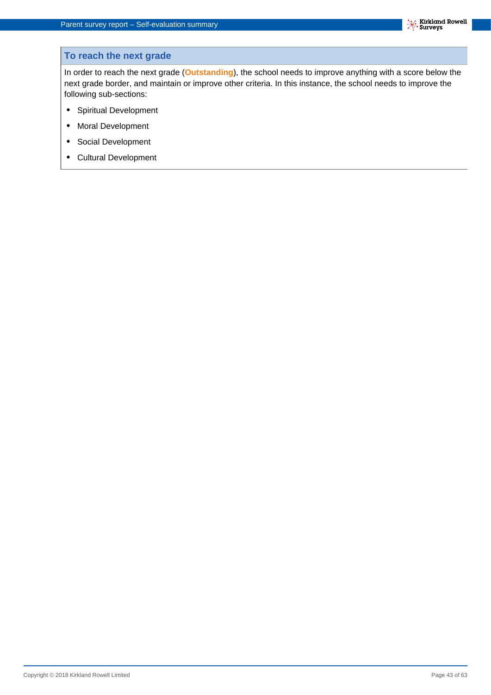#### **To reach the next grade**

In order to reach the next grade (**Outstanding**), the school needs to improve anything with a score below the next grade border, and maintain or improve other criteria. In this instance, the school needs to improve the following sub-sections:

- **•** Spiritual Development
- **•** Moral Development
- **•** Social Development
- **•** Cultural Development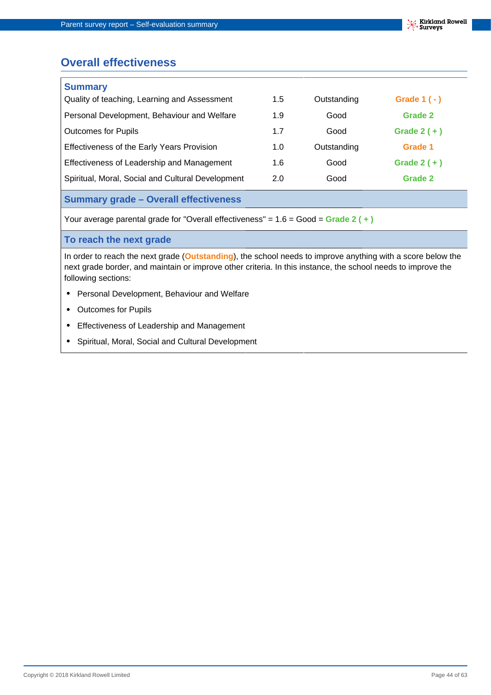## **Overall effectiveness**

| <b>Summary</b>                                    |     |             |               |  |
|---------------------------------------------------|-----|-------------|---------------|--|
| Quality of teaching, Learning and Assessment      | 1.5 | Outstanding | Grade $1(-)$  |  |
| Personal Development, Behaviour and Welfare       | 1.9 | Good        | Grade 2       |  |
| <b>Outcomes for Pupils</b>                        | 1.7 | Good        | Grade $2 (+)$ |  |
| Effectiveness of the Early Years Provision        | 1.0 | Outstanding | Grade 1       |  |
| Effectiveness of Leadership and Management        | 1.6 | Good        | Grade $2 (+)$ |  |
| Spiritual, Moral, Social and Cultural Development | 2.0 | Good        | Grade 2       |  |
|                                                   |     |             |               |  |

#### **Summary grade – Overall effectiveness**

Your average parental grade for "Overall effectiveness" = 1.6 = Good = **Grade 2 ( + )**

#### **To reach the next grade**

In order to reach the next grade (**Outstanding**), the school needs to improve anything with a score below the next grade border, and maintain or improve other criteria. In this instance, the school needs to improve the following sections:

- **•** Personal Development, Behaviour and Welfare
- **•** Outcomes for Pupils
- **•** Effectiveness of Leadership and Management
- **•** Spiritual, Moral, Social and Cultural Development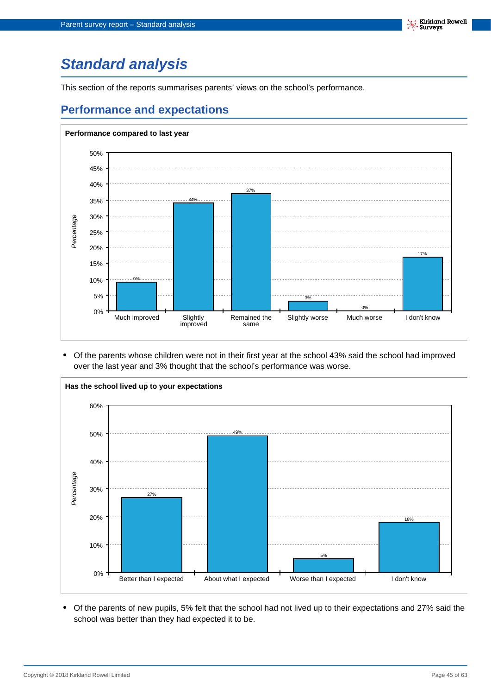# <span id="page-44-0"></span>**Standard analysis**

This section of the reports summarises parents' views on the school's performance.

## **Performance and expectations**



**•** Of the parents whose children were not in their first year at the school 43% said the school had improved over the last year and 3% thought that the school's performance was worse.



**•** Of the parents of new pupils, 5% felt that the school had not lived up to their expectations and 27% said the school was better than they had expected it to be.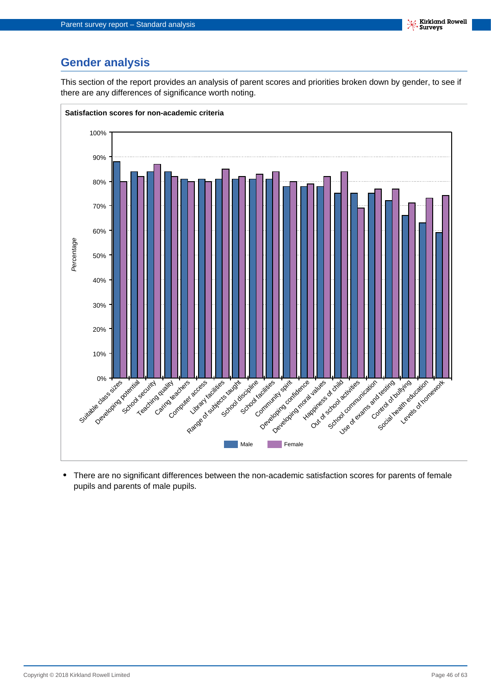## **Gender analysis**

This section of the report provides an analysis of parent scores and priorities broken down by gender, to see if there are any differences of significance worth noting.



**•** There are no significant differences between the non-academic satisfaction scores for parents of female pupils and parents of male pupils.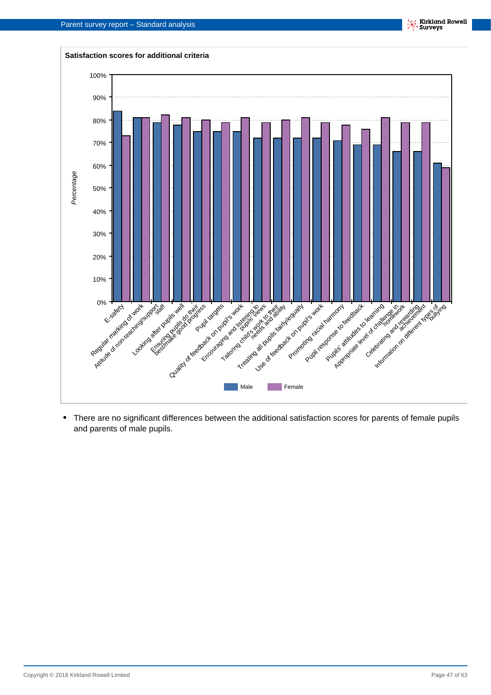

**•** There are no significant differences between the additional satisfaction scores for parents of female pupils and parents of male pupils.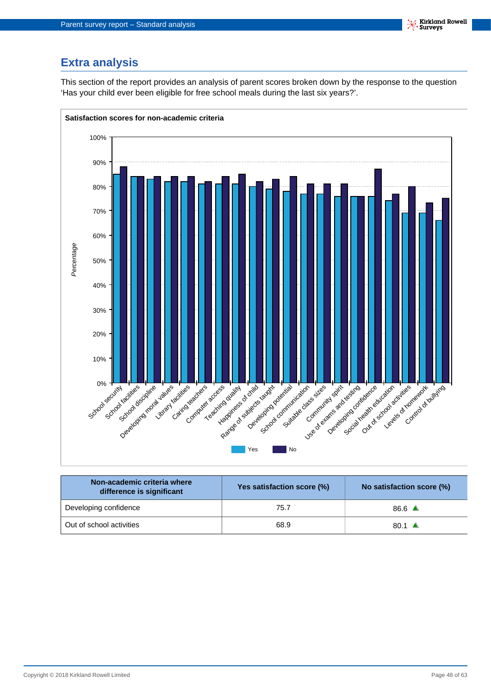## **Extra analysis**

This section of the report provides an analysis of parent scores broken down by the response to the question 'Has your child ever been eligible for free school meals during the last six years?'.



| Non-academic criteria where<br>difference is significant | Yes satisfaction score (%) | No satisfaction score (%) |  |  |
|----------------------------------------------------------|----------------------------|---------------------------|--|--|
| Developing confidence                                    | 75.7                       | 86.6 $\triangle$          |  |  |
| Out of school activities                                 | 68.9                       | 80.1 $\triangle$          |  |  |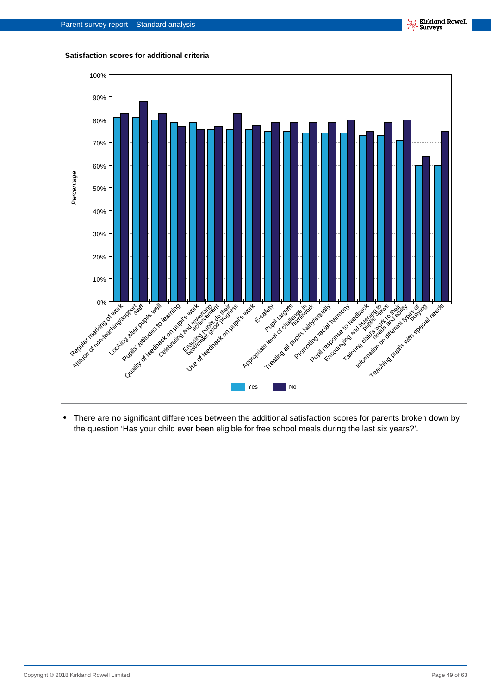

**•** There are no significant differences between the additional satisfaction scores for parents broken down by the question 'Has your child ever been eligible for free school meals during the last six years?'.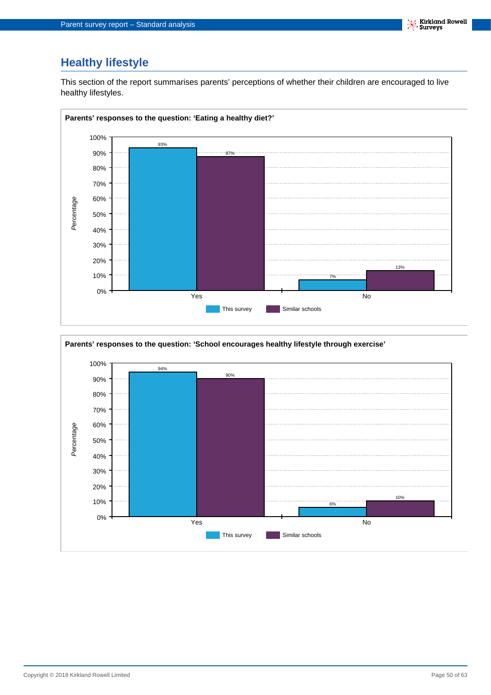## **Healthy lifestyle**

This section of the report summarises parents' perceptions of whether their children are encouraged to live healthy lifestyles.



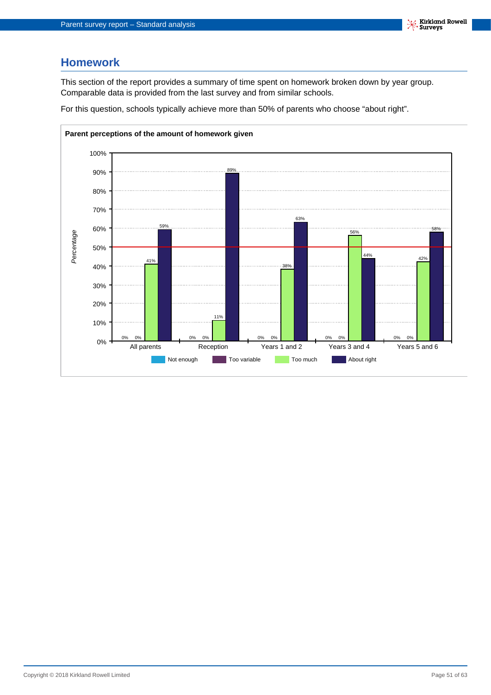### **Homework**

This section of the report provides a summary of time spent on homework broken down by year group. Comparable data is provided from the last survey and from similar schools.

For this question, schools typically achieve more than 50% of parents who choose "about right".

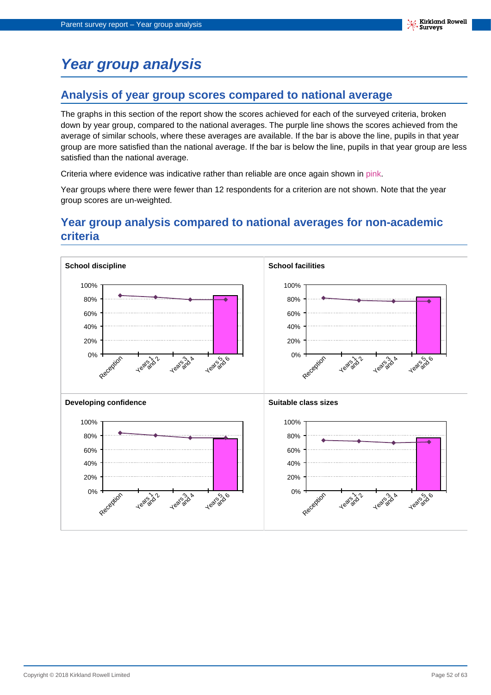# <span id="page-51-0"></span>**Year group analysis**

### **Analysis of year group scores compared to national average**

The graphs in this section of the report show the scores achieved for each of the surveyed criteria, broken down by year group, compared to the national averages. The purple line shows the scores achieved from the average of similar schools, where these averages are available. If the bar is above the line, pupils in that year group are more satisfied than the national average. If the bar is below the line, pupils in that year group are less satisfied than the national average.

Criteria where evidence was indicative rather than reliable are once again shown in pink.

Year groups where there were fewer than 12 respondents for a criterion are not shown. Note that the year group scores are un-weighted.

## **Year group analysis compared to national averages for non-academic criteria**

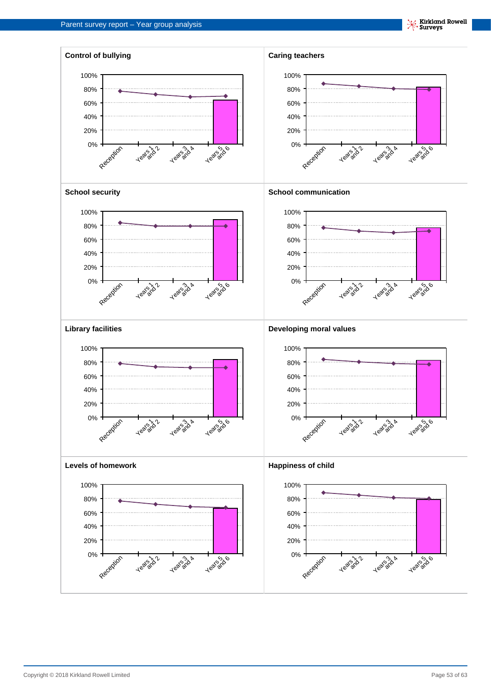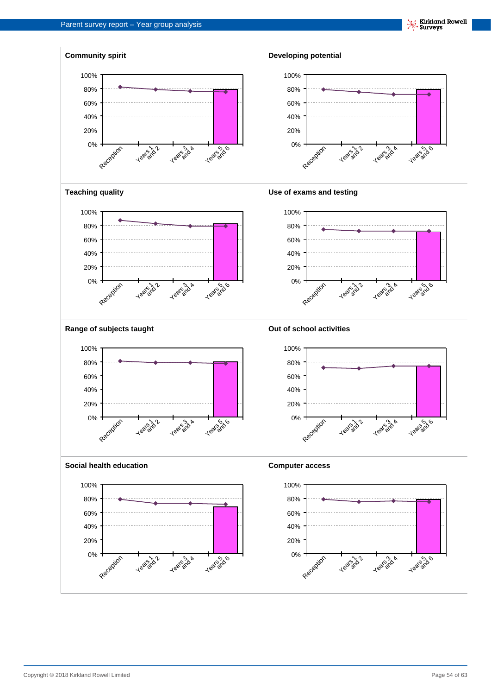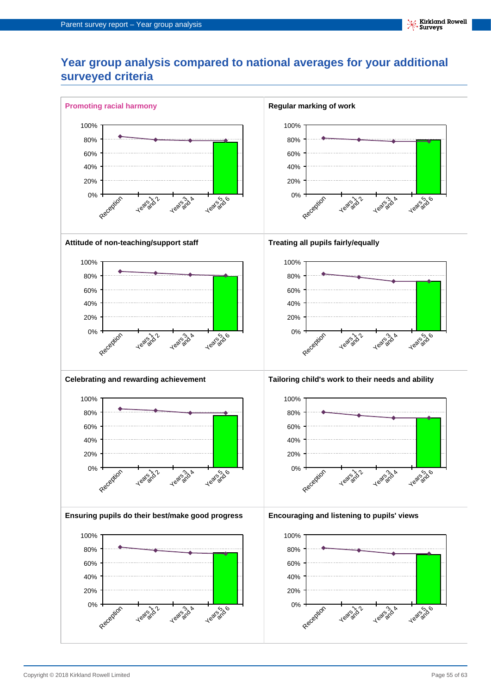## **Year group analysis compared to national averages for your additional surveyed criteria**

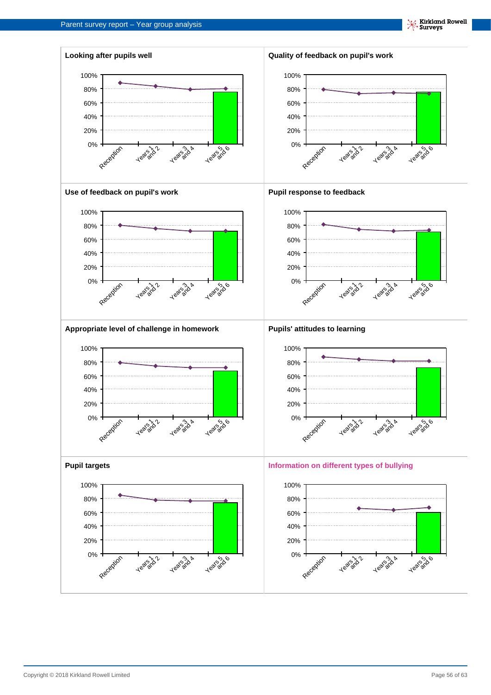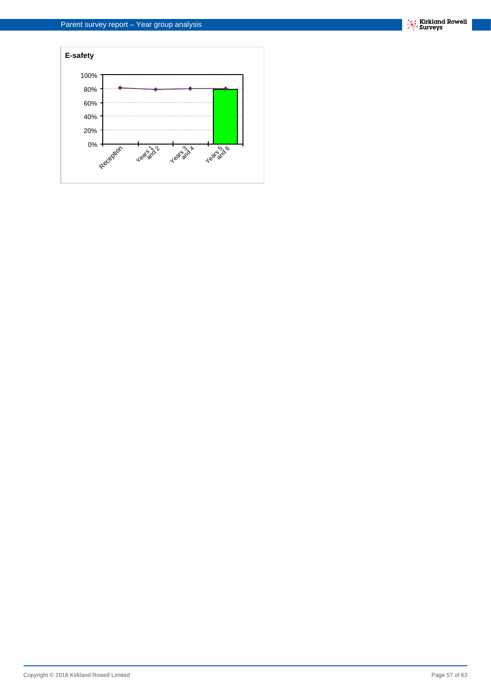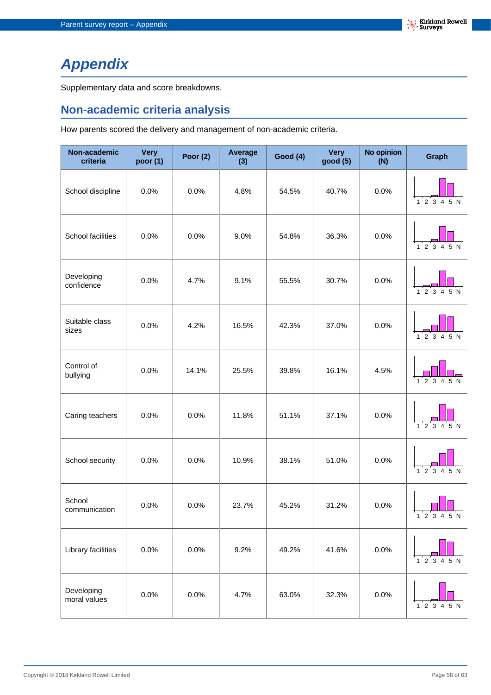# <span id="page-57-0"></span>**Appendix**

Supplementary data and score breakdowns.

## **Non-academic criteria analysis**

How parents scored the delivery and management of non-academic criteria.

| Non-academic<br>criteria   | <b>Very</b><br>poor (1) | Poor $(2)$ | Average<br>(3) | <b>Good (4)</b> | <b>Very</b><br>good (5) | No opinion<br>(N) | Graph                                            |
|----------------------------|-------------------------|------------|----------------|-----------------|-------------------------|-------------------|--------------------------------------------------|
| School discipline          | 0.0%                    | 0.0%       | 4.8%           | 54.5%           | 40.7%                   | 0.0%              | 1 2 3 4 5 N                                      |
| School facilities          | 0.0%                    | 0.0%       | 9.0%           | 54.8%           | 36.3%                   | 0.0%              | ี 5 N<br>23                                      |
| Developing<br>confidence   | 0.0%                    | 4.7%       | 9.1%           | 55.5%           | 30.7%                   | 0.0%              | 1 2 3 4 5 N                                      |
| Suitable class<br>sizes    | 0.0%                    | 4.2%       | 16.5%          | 42.3%           | 37.0%                   | 0.0%              | ່ 5 N<br>2<br>$\overline{\mathbf{3}}$            |
| Control of<br>bullying     | 0.0%                    | 14.1%      | 25.5%          | 39.8%           | 16.1%                   | 4.5%              | 3 4 5 N<br>1 <sub>2</sub>                        |
| Caring teachers            | 0.0%                    | 0.0%       | 11.8%          | 51.1%           | 37.1%                   | 0.0%              | $1^{\prime}$ 2 3 4 5 N                           |
| School security            | 0.0%                    | 0.0%       | 10.9%          | 38.1%           | 51.0%                   | 0.0%              | $1^{\circ}2^{\circ}3^{\circ}4^{\circ}5^{\circ}N$ |
| School<br>communication    | 0.0%                    | 0.0%       | 23.7%          | 45.2%           | 31.2%                   | 0.0%              | 1 2 3 4 5 N                                      |
| Library facilities         | 0.0%                    | 0.0%       | 9.2%           | 49.2%           | 41.6%                   | 0.0%              | $1\ 2\ 3\ 4\ 5\ N$                               |
| Developing<br>moral values | 0.0%                    | 0.0%       | 4.7%           | 63.0%           | 32.3%                   | 0.0%              | 12345N                                           |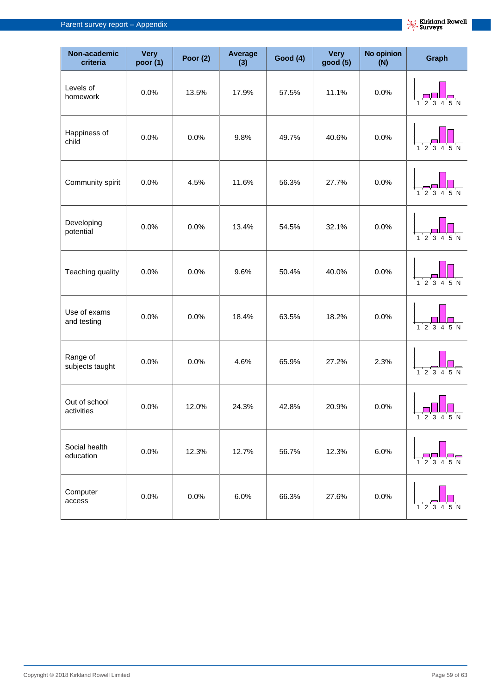| Non-academic<br>criteria    | <b>Very</b><br>poor (1) | Poor $(2)$ | <b>Average</b><br>(3) | <b>Good (4)</b> | <b>Very</b><br>good (5) | <b>No opinion</b><br>(N) | <b>Graph</b>                    |
|-----------------------------|-------------------------|------------|-----------------------|-----------------|-------------------------|--------------------------|---------------------------------|
| Levels of<br>homework       | 0.0%                    | 13.5%      | 17.9%                 | 57.5%           | 11.1%                   | 0.0%                     | 2 3 4 5 N<br>1                  |
| Happiness of<br>child       | 0.0%                    | 0.0%       | 9.8%                  | 49.7%           | 40.6%                   | 0.0%                     | 12345N                          |
| Community spirit            | 0.0%                    | 4.5%       | 11.6%                 | 56.3%           | 27.7%                   | 0.0%                     | 12345N                          |
| Developing<br>potential     | 0.0%                    | 0.0%       | 13.4%                 | 54.5%           | 32.1%                   | 0.0%                     | $1\ 2\ 3\ 4\ 5\ N$              |
| Teaching quality            | 0.0%                    | 0.0%       | 9.6%                  | 50.4%           | 40.0%                   | 0.0%                     | $1\ 2\ 3\ 4\ 5\ N$              |
| Use of exams<br>and testing | 0.0%                    | 0.0%       | 18.4%                 | 63.5%           | 18.2%                   | 0.0%                     | $1\ 2\ 3\ 4\ 5\ N$              |
| Range of<br>subjects taught | 0.0%                    | 0.0%       | 4.6%                  | 65.9%           | 27.2%                   | 2.3%                     | $1\ 2\ 3\ 4\ 5\ N$              |
| Out of school<br>activities | 0.0%                    | 12.0%      | 24.3%                 | 42.8%           | 20.9%                   | 0.0%                     | 1 2 3 4 5 N                     |
| Social health<br>education  | 0.0%                    | 12.3%      | 12.7%                 | 56.7%           | 12.3%                   | 6.0%                     | $\overline{2}$<br>3<br>5 N<br>4 |
| Computer<br>access          | 0.0%                    | 0.0%       | 6.0%                  | 66.3%           | 27.6%                   | 0.0%                     | 1 2 3 4 5 N                     |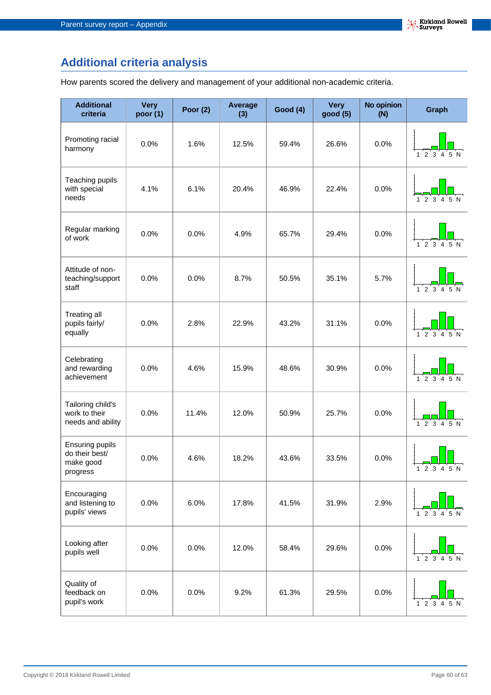## **Additional criteria analysis**

How parents scored the delivery and management of your additional non-academic criteria.

| <b>Additional</b><br>criteria                              | <b>Very</b><br>poor $(1)$ | <b>Poor (2)</b> | <b>Average</b><br>(3) | <b>Good (4)</b> | <b>Very</b><br>good (5) | <b>No opinion</b><br>(N) | <b>Graph</b>                                 |
|------------------------------------------------------------|---------------------------|-----------------|-----------------------|-----------------|-------------------------|--------------------------|----------------------------------------------|
| Promoting racial<br>harmony                                | 0.0%                      | 1.6%            | 12.5%                 | 59.4%           | 26.6%                   | 0.0%                     | 2 3 4<br>5 N<br>1                            |
| Teaching pupils<br>with special<br>needs                   | 4.1%                      | 6.1%            | 20.4%                 | 46.9%           | 22.4%                   | 0.0%                     | $1\ 2\ 3\ 4$<br>5 N                          |
| Regular marking<br>of work                                 | 0.0%                      | 0.0%            | 4.9%                  | 65.7%           | 29.4%                   | 0.0%                     | $1\ 2\ 3\ 4\ 5\ N$                           |
| Attitude of non-<br>teaching/support<br>staff              | 0.0%                      | 0.0%            | 8.7%                  | 50.5%           | 35.1%                   | 5.7%                     | $1\ 2\ 3\ 4\ 5\ N$                           |
| Treating all<br>pupils fairly/<br>equally                  | 0.0%                      | 2.8%            | 22.9%                 | 43.2%           | 31.1%                   | 0.0%                     | $1\ 2\ 3\ 4\ 5\ N$                           |
| Celebrating<br>and rewarding<br>achievement                | 0.0%                      | 4.6%            | 15.9%                 | 48.6%           | 30.9%                   | 0.0%                     | $\overline{2}$<br>3                          |
| Tailoring child's<br>work to their<br>needs and ability    | 0.0%                      | 11.4%           | 12.0%                 | 50.9%           | 25.7%                   | 0.0%                     | $1\ 2\ 3\ 4\ 5\ N$                           |
| Ensuring pupils<br>do their best/<br>make good<br>progress | 0.0%                      | 4.6%            | 18.2%                 | 43.6%           | 33.5%                   | 0.0%                     | 1 2 3 4 5 N                                  |
| Encouraging<br>and listening to<br>pupils' views           | 0.0%                      | 6.0%            | 17.8%                 | 41.5%           | 31.9%                   | 2.9%                     | 5 N<br>$\overline{2}$<br>3<br>$\overline{4}$ |
| Looking after<br>pupils well                               | 0.0%                      | 0.0%            | 12.0%                 | 58.4%           | 29.6%                   | 0.0%                     | 1 2 3 4 5 N                                  |
| Quality of<br>feedback on<br>pupil's work                  | 0.0%                      | 0.0%            | 9.2%                  | 61.3%           | 29.5%                   | 0.0%                     | $1\ 2\ 3\ 4\ 5\ N$                           |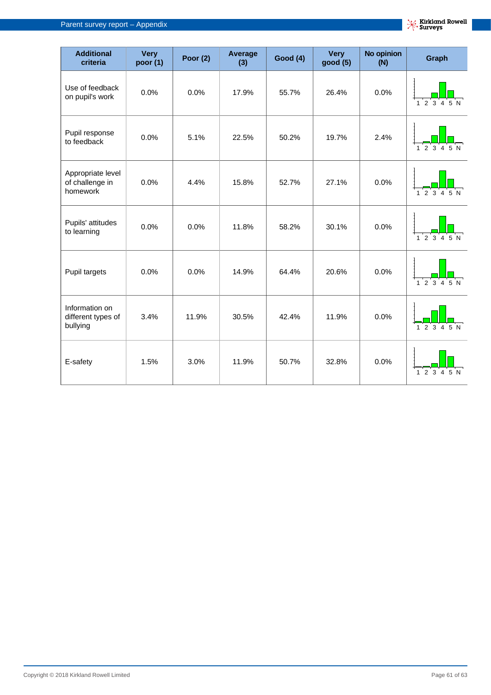| <b>Additional</b><br>criteria                    | <b>Very</b><br>poor (1) | Poor $(2)$ | Average<br>(3) | <b>Good (4)</b> | <b>Very</b><br>good (5) | <b>No opinion</b><br>(N) | <b>Graph</b>                                          |
|--------------------------------------------------|-------------------------|------------|----------------|-----------------|-------------------------|--------------------------|-------------------------------------------------------|
| Use of feedback<br>on pupil's work               | 0.0%                    | 0.0%       | 17.9%          | 55.7%           | 26.4%                   | 0.0%                     | 1 2 3 4 5 N                                           |
| Pupil response<br>to feedback                    | 0.0%                    | 5.1%       | 22.5%          | 50.2%           | 19.7%                   | 2.4%                     | 1 2 3 4 5 N                                           |
| Appropriate level<br>of challenge in<br>homework | 0.0%                    | 4.4%       | 15.8%          | 52.7%           | 27.1%                   | 0.0%                     | $1\ 2\ 3\ 4\ 5\ N$                                    |
| Pupils' attitudes<br>to learning                 | 0.0%                    | 0.0%       | 11.8%          | 58.2%           | 30.1%                   | 0.0%                     | $1^{\prime}2^{\prime}3^{\prime}4^{\prime}5^{\prime}N$ |
| Pupil targets                                    | 0.0%                    | 0.0%       | 14.9%          | 64.4%           | 20.6%                   | 0.0%                     | $1\quad 2\quad 3\quad 4\quad 5\quad \textsf{N}$       |
| Information on<br>different types of<br>bullying | 3.4%                    | 11.9%      | 30.5%          | 42.4%           | 11.9%                   | 0.0%                     | $1$ 2 3 4 5 N                                         |
| E-safety                                         | 1.5%                    | 3.0%       | 11.9%          | 50.7%           | 32.8%                   | 0.0%                     | 2 <sup>3</sup><br>4 5 N<br>$\mathbf{1}$               |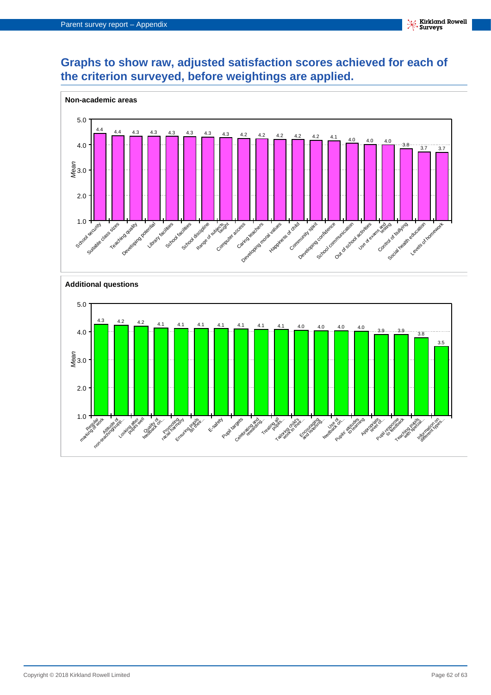## **Graphs to show raw, adjusted satisfaction scores achieved for each of the criterion surveyed, before weightings are applied.**